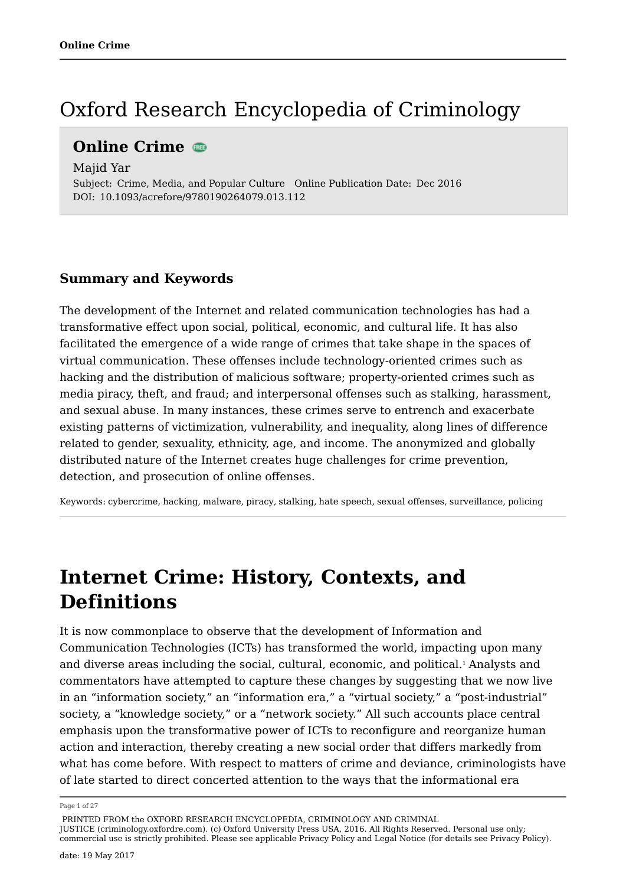## Oxford Research Encyclopedia of Criminology

### **Online Crime**

Majid Yar Subject: Crime, Media, and Popular Culture Online Publication Date: Dec 2016 DOI: 10.1093/acrefore/9780190264079.013.112

### **Summary and Keywords**

The development of the Internet and related communication technologies has had a transformative effect upon social, political, economic, and cultural life. It has also facilitated the emergence of a wide range of crimes that take shape in the spaces of virtual communication. These offenses include technology-oriented crimes such as hacking and the distribution of malicious software; property-oriented crimes such as media piracy, theft, and fraud; and interpersonal offenses such as stalking, harassment, and sexual abuse. In many instances, these crimes serve to entrench and exacerbate existing patterns of victimization, vulnerability, and inequality, along lines of difference related to gender, sexuality, ethnicity, age, and income. The anonymized and globally distributed nature of the Internet creates huge challenges for crime prevention, detection, and prosecution of online offenses.

Keywords: cybercrime, hacking, malware, piracy, stalking, hate speech, sexual offenses, surveillance, policing

## **Internet Crime: History, Contexts, and Definitions**

It is now commonplace to observe that the development of Information and Communication Technologies (ICTs) has transformed the world, impacting upon many and diverse areas including the social, cultural, economic, and political. Analysts and 1 commentators have attempted to capture these changes by suggesting that we now live in an "information society," an "information era," a "virtual society," a "post-industrial" society, a "knowledge society," or a "network society." All such accounts place central emphasis upon the transformative power of ICTs to reconfigure and reorganize human action and interaction, thereby creating a new social order that differs markedly from what has come before. With respect to matters of crime and deviance, criminologists have of late started to direct concerted attention to the ways that the informational era

Page 1 of 27

PRINTED FROM the OXFORD RESEARCH ENCYCLOPEDIA, CRIMINOLOGY AND CRIMINAL

JUSTICE (criminology.oxfordre.com). (c) Oxford University Press USA, 2016. All Rights Reserved. Personal use only; commercial use is strictly prohibited. Please see applicable Privacy Policy and Legal Notice (for details see Privacy Policy).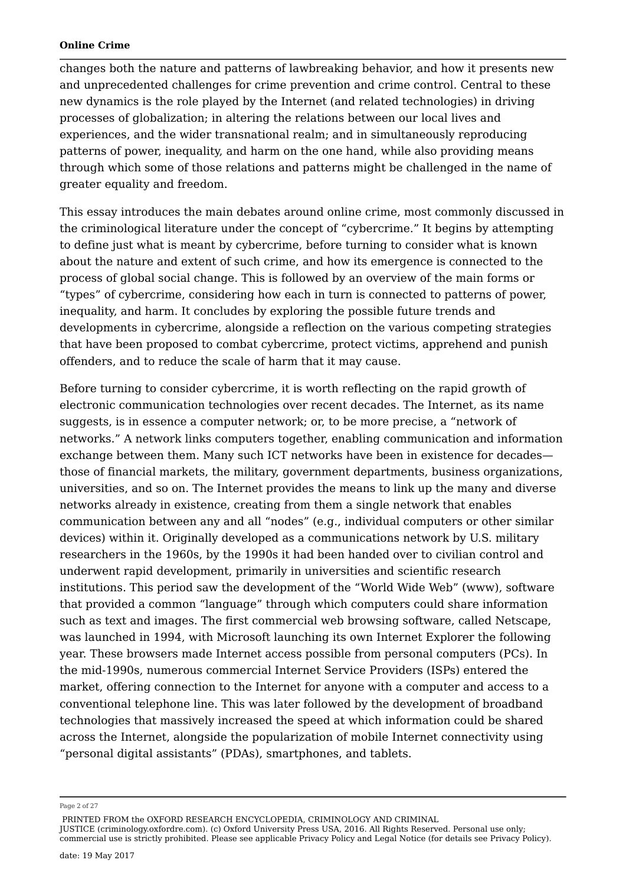changes both the nature and patterns of lawbreaking behavior, and how it presents new and unprecedented challenges for crime prevention and crime control. Central to these new dynamics is the role played by the Internet (and related technologies) in driving processes of globalization; in altering the relations between our local lives and experiences, and the wider transnational realm; and in simultaneously reproducing patterns of power, inequality, and harm on the one hand, while also providing means through which some of those relations and patterns might be challenged in the name of greater equality and freedom.

This essay introduces the main debates around online crime, most commonly discussed in the criminological literature under the concept of "cybercrime." It begins by attempting to define just what is meant by cybercrime, before turning to consider what is known about the nature and extent of such crime, and how its emergence is connected to the process of global social change. This is followed by an overview of the main forms or "types" of cybercrime, considering how each in turn is connected to patterns of power, inequality, and harm. It concludes by exploring the possible future trends and developments in cybercrime, alongside a reflection on the various competing strategies that have been proposed to combat cybercrime, protect victims, apprehend and punish offenders, and to reduce the scale of harm that it may cause.

Before turning to consider cybercrime, it is worth reflecting on the rapid growth of electronic communication technologies over recent decades. The Internet, as its name suggests, is in essence a computer network; or, to be more precise, a "network of networks." A network links computers together, enabling communication and information exchange between them. Many such ICT networks have been in existence for decades those of financial markets, the military, government departments, business organizations, universities, and so on. The Internet provides the means to link up the many and diverse networks already in existence, creating from them a single network that enables communication between any and all "nodes" (e.g., individual computers or other similar devices) within it. Originally developed as a communications network by U.S. military researchers in the 1960s, by the 1990s it had been handed over to civilian control and underwent rapid development, primarily in universities and scientific research institutions. This period saw the development of the "World Wide Web" (www), software that provided a common "language" through which computers could share information such as text and images. The first commercial web browsing software, called Netscape, was launched in 1994, with Microsoft launching its own Internet Explorer the following year. These browsers made Internet access possible from personal computers (PCs). In the mid-1990s, numerous commercial Internet Service Providers (ISPs) entered the market, offering connection to the Internet for anyone with a computer and access to a conventional telephone line. This was later followed by the development of broadband technologies that massively increased the speed at which information could be shared across the Internet, alongside the popularization of mobile Internet connectivity using "personal digital assistants" (PDAs), smartphones, and tablets.

Page 2 of 27

PRINTED FROM the OXFORD RESEARCH ENCYCLOPEDIA, CRIMINOLOGY AND CRIMINAL

JUSTICE (criminology.oxfordre.com). (c) Oxford University Press USA, 2016. All Rights Reserved. Personal use only; commercial use is strictly prohibited. Please see applicable Privacy Policy and Legal Notice (for details see Privacy Policy).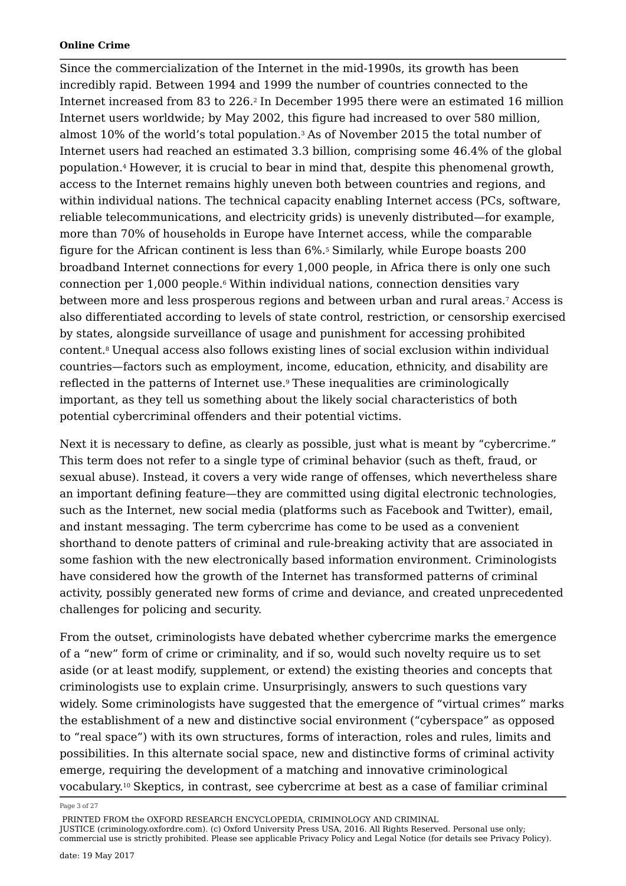Since the commercialization of the Internet in the mid-1990s, its growth has been incredibly rapid. Between 1994 and 1999 the number of countries connected to the Internet increased from 83 to 226. $^{\rm 2}$  In December 1995 there were an estimated 16 million Internet users worldwide; by May 2002, this figure had increased to over 580 million, almost 10% of the world's total population. $^{\text{3}}$  As of November 2015 the total number of Internet users had reached an estimated 3.3 billion, comprising some 46.4% of the global population.4 However, it is crucial to bear in mind that, despite this phenomenal growth, access to the Internet remains highly uneven both between countries and regions, and within individual nations. The technical capacity enabling Internet access (PCs, software, reliable telecommunications, and electricity grids) is unevenly distributed—for example, more than 70% of households in Europe have Internet access, while the comparable figure for the African continent is less than 6%. Similarly, while Europe boasts 200 5 broadband Internet connections for every 1,000 people, in Africa there is only one such connection per 1,000 people.<sub>6</sub> Within individual nations, connection densities vary between more and less prosperous regions and between urban and rural areas.<sup>,</sup> Access is also differentiated according to levels of state control, restriction, or censorship exercised by states, alongside surveillance of usage and punishment for accessing prohibited content.8 Unequal access also follows existing lines of social exclusion within individual countries—factors such as employment, income, education, ethnicity, and disability are reflected in the patterns of Internet use.º These inequalities are criminologically important, as they tell us something about the likely social characteristics of both potential cybercriminal offenders and their potential victims.

Next it is necessary to define, as clearly as possible, just what is meant by "cybercrime." This term does not refer to a single type of criminal behavior (such as theft, fraud, or sexual abuse). Instead, it covers a very wide range of offenses, which nevertheless share an important defining feature—they are committed using digital electronic technologies, such as the Internet, new social media (platforms such as Facebook and Twitter), email, and instant messaging. The term cybercrime has come to be used as a convenient shorthand to denote patters of criminal and rule-breaking activity that are associated in some fashion with the new electronically based information environment. Criminologists have considered how the growth of the Internet has transformed patterns of criminal activity, possibly generated new forms of crime and deviance, and created unprecedented challenges for policing and security.

From the outset, criminologists have debated whether cybercrime marks the emergence of a "new" form of crime or criminality, and if so, would such novelty require us to set aside (or at least modify, supplement, or extend) the existing theories and concepts that criminologists use to explain crime. Unsurprisingly, answers to such questions vary widely. Some criminologists have suggested that the emergence of "virtual crimes" marks the establishment of a new and distinctive social environment ("cyberspace" as opposed to "real space") with its own structures, forms of interaction, roles and rules, limits and possibilities. In this alternate social space, new and distinctive forms of criminal activity emerge, requiring the development of a matching and innovative criminological vocabulary.10 Skeptics, in contrast, see cybercrime at best as a case of familiar criminal

Page 3 of 27

PRINTED FROM the OXFORD RESEARCH ENCYCLOPEDIA, CRIMINOLOGY AND CRIMINAL

JUSTICE (criminology.oxfordre.com). (c) Oxford University Press USA, 2016. All Rights Reserved. Personal use only; commercial use is strictly prohibited. Please see applicable Privacy Policy and Legal Notice (for details see Privacy Policy).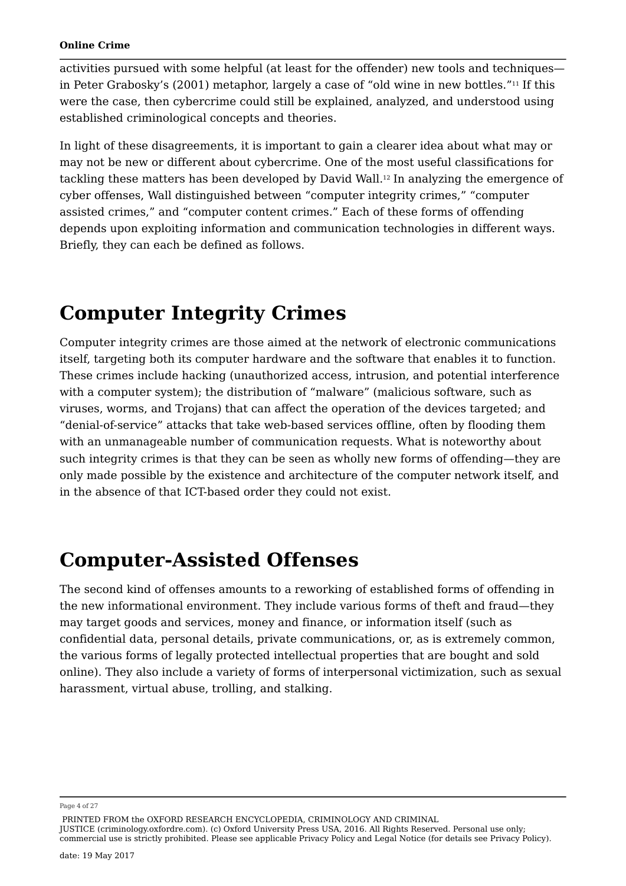activities pursued with some helpful (at least for the offender) new tools and techniques in Peter Grabosky's (2001) metaphor, largely a case of "old wine in new bottles."11 If this were the case, then cybercrime could still be explained, analyzed, and understood using established criminological concepts and theories.

In light of these disagreements, it is important to gain a clearer idea about what may or may not be new or different about cybercrime. One of the most useful classifications for tackling these matters has been developed by David Wall.12 In analyzing the emergence of cyber offenses, Wall distinguished between "computer integrity crimes," "computer assisted crimes," and "computer content crimes." Each of these forms of offending depends upon exploiting information and communication technologies in different ways. Briefly, they can each be defined as follows.

# **Computer Integrity Crimes**

Computer integrity crimes are those aimed at the network of electronic communications itself, targeting both its computer hardware and the software that enables it to function. These crimes include hacking (unauthorized access, intrusion, and potential interference with a computer system); the distribution of "malware" (malicious software, such as viruses, worms, and Trojans) that can affect the operation of the devices targeted; and "denial-of-service" attacks that take web-based services offline, often by flooding them with an unmanageable number of communication requests. What is noteworthy about such integrity crimes is that they can be seen as wholly new forms of offending—they are only made possible by the existence and architecture of the computer network itself, and in the absence of that ICT-based order they could not exist.

## **Computer-Assisted Offenses**

The second kind of offenses amounts to a reworking of established forms of offending in the new informational environment. They include various forms of theft and fraud—they may target goods and services, money and finance, or information itself (such as confidential data, personal details, private communications, or, as is extremely common, the various forms of legally protected intellectual properties that are bought and sold online). They also include a variety of forms of interpersonal victimization, such as sexual harassment, virtual abuse, trolling, and stalking.

Page 4 of 27

PRINTED FROM the OXFORD RESEARCH ENCYCLOPEDIA, CRIMINOLOGY AND CRIMINAL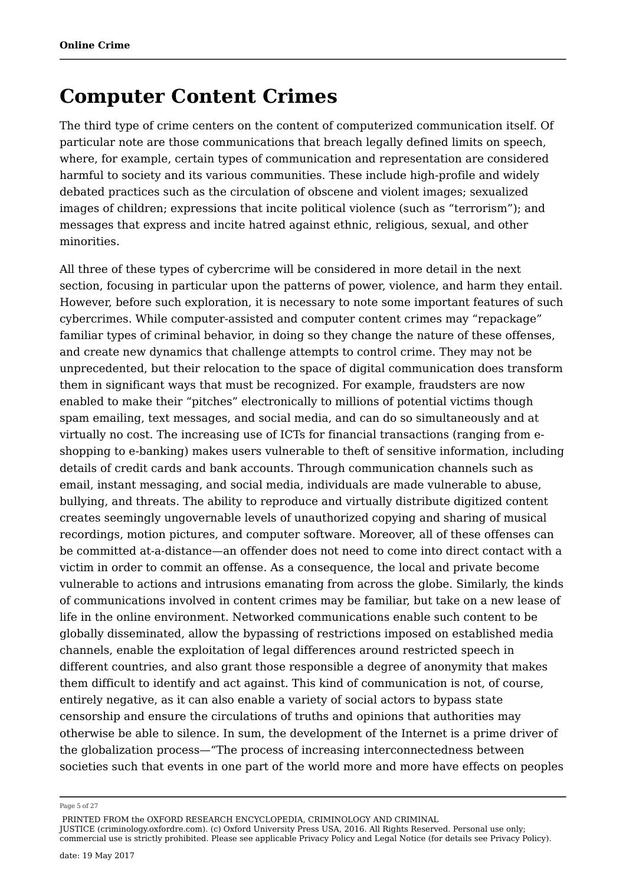## **Computer Content Crimes**

The third type of crime centers on the content of computerized communication itself. Of particular note are those communications that breach legally defined limits on speech, where, for example, certain types of communication and representation are considered harmful to society and its various communities. These include high-profile and widely debated practices such as the circulation of obscene and violent images; sexualized images of children; expressions that incite political violence (such as "terrorism"); and messages that express and incite hatred against ethnic, religious, sexual, and other minorities.

All three of these types of cybercrime will be considered in more detail in the next section, focusing in particular upon the patterns of power, violence, and harm they entail. However, before such exploration, it is necessary to note some important features of such cybercrimes. While computer-assisted and computer content crimes may "repackage" familiar types of criminal behavior, in doing so they change the nature of these offenses, and create new dynamics that challenge attempts to control crime. They may not be unprecedented, but their relocation to the space of digital communication does transform them in significant ways that must be recognized. For example, fraudsters are now enabled to make their "pitches" electronically to millions of potential victims though spam emailing, text messages, and social media, and can do so simultaneously and at virtually no cost. The increasing use of ICTs for financial transactions (ranging from eshopping to e-banking) makes users vulnerable to theft of sensitive information, including details of credit cards and bank accounts. Through communication channels such as email, instant messaging, and social media, individuals are made vulnerable to abuse, bullying, and threats. The ability to reproduce and virtually distribute digitized content creates seemingly ungovernable levels of unauthorized copying and sharing of musical recordings, motion pictures, and computer software. Moreover, all of these offenses can be committed at-a-distance—an offender does not need to come into direct contact with a victim in order to commit an offense. As a consequence, the local and private become vulnerable to actions and intrusions emanating from across the globe. Similarly, the kinds of communications involved in content crimes may be familiar, but take on a new lease of life in the online environment. Networked communications enable such content to be globally disseminated, allow the bypassing of restrictions imposed on established media channels, enable the exploitation of legal differences around restricted speech in different countries, and also grant those responsible a degree of anonymity that makes them difficult to identify and act against. This kind of communication is not, of course, entirely negative, as it can also enable a variety of social actors to bypass state censorship and ensure the circulations of truths and opinions that authorities may otherwise be able to silence. In sum, the development of the Internet is a prime driver of the globalization process—"The process of increasing interconnectedness between societies such that events in one part of the world more and more have effects on peoples

Page 5 of 27

PRINTED FROM the OXFORD RESEARCH ENCYCLOPEDIA, CRIMINOLOGY AND CRIMINAL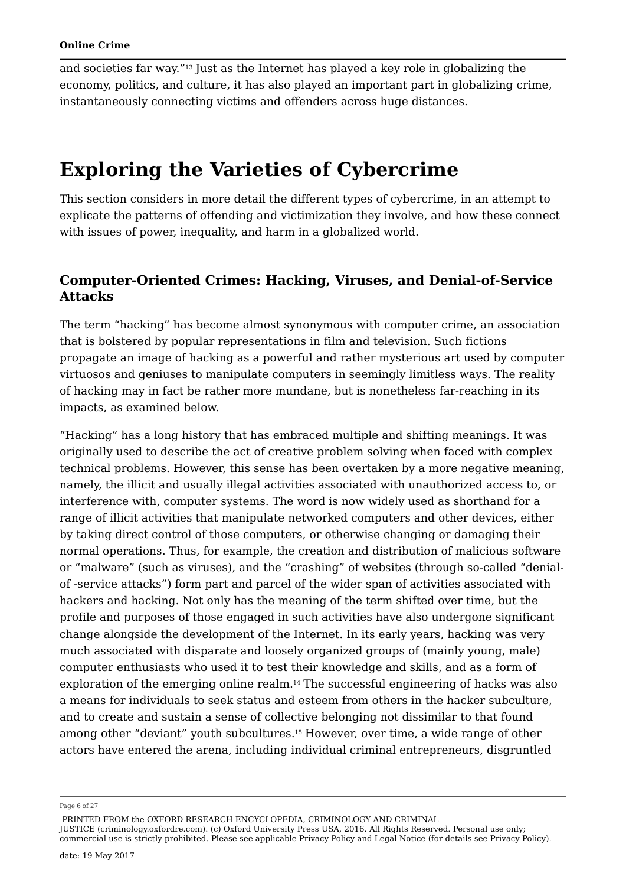and societies far way." $^{13}$  Just as the Internet has played a key role in globalizing the economy, politics, and culture, it has also played an important part in globalizing crime, instantaneously connecting victims and offenders across huge distances.

## **Exploring the Varieties of Cybercrime**

This section considers in more detail the different types of cybercrime, in an attempt to explicate the patterns of offending and victimization they involve, and how these connect with issues of power, inequality, and harm in a globalized world.

### **Computer-Oriented Crimes: Hacking, Viruses, and Denial-of-Service Attacks**

The term "hacking" has become almost synonymous with computer crime, an association that is bolstered by popular representations in film and television. Such fictions propagate an image of hacking as a powerful and rather mysterious art used by computer virtuosos and geniuses to manipulate computers in seemingly limitless ways. The reality of hacking may in fact be rather more mundane, but is nonetheless far-reaching in its impacts, as examined below.

"Hacking" has a long history that has embraced multiple and shifting meanings. It was originally used to describe the act of creative problem solving when faced with complex technical problems. However, this sense has been overtaken by a more negative meaning, namely, the illicit and usually illegal activities associated with unauthorized access to, or interference with, computer systems. The word is now widely used as shorthand for a range of illicit activities that manipulate networked computers and other devices, either by taking direct control of those computers, or otherwise changing or damaging their normal operations. Thus, for example, the creation and distribution of malicious software or "malware" (such as viruses), and the "crashing" of websites (through so-called "denialof -service attacks") form part and parcel of the wider span of activities associated with hackers and hacking. Not only has the meaning of the term shifted over time, but the profile and purposes of those engaged in such activities have also undergone significant change alongside the development of the Internet. In its early years, hacking was very much associated with disparate and loosely organized groups of (mainly young, male) computer enthusiasts who used it to test their knowledge and skills, and as a form of exploration of the emerging online realm.14 The successful engineering of hacks was also a means for individuals to seek status and esteem from others in the hacker subculture, and to create and sustain a sense of collective belonging not dissimilar to that found among other "deviant" youth subcultures.15 However, over time, a wide range of other actors have entered the arena, including individual criminal entrepreneurs, disgruntled

Page 6 of 27

PRINTED FROM the OXFORD RESEARCH ENCYCLOPEDIA, CRIMINOLOGY AND CRIMINAL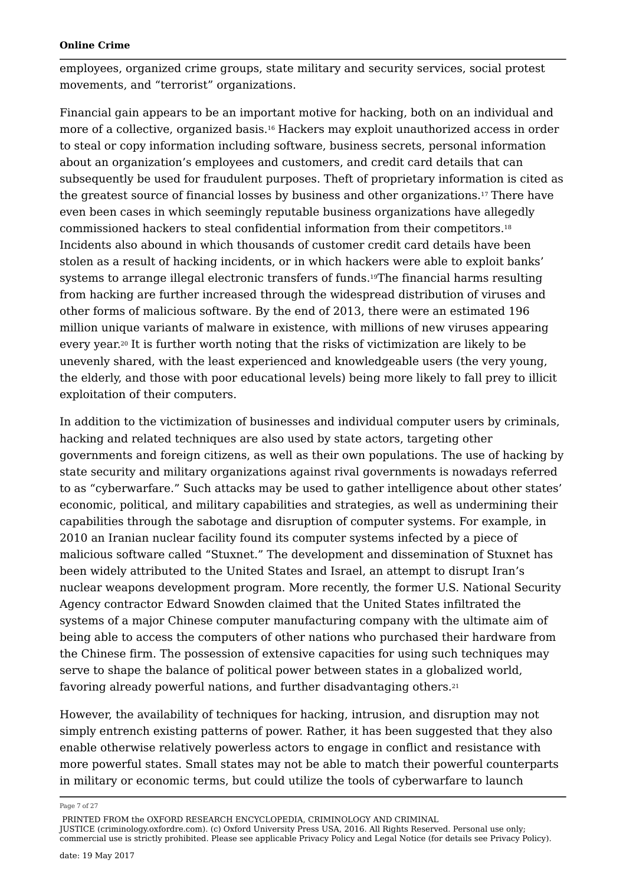employees, organized crime groups, state military and security services, social protest movements, and "terrorist" organizations.

Financial gain appears to be an important motive for hacking, both on an individual and more of a collective, organized basis.16 Hackers may exploit unauthorized access in order to steal or copy information including software, business secrets, personal information about an organization's employees and customers, and credit card details that can subsequently be used for fraudulent purposes. Theft of proprietary information is cited as the greatest source of financial losses by business and other organizations. $^{17}$  There have even been cases in which seemingly reputable business organizations have allegedly commissioned hackers to steal confidential information from their competitors. Incidents also abound in which thousands of customer credit card details have been stolen as a result of hacking incidents, or in which hackers were able to exploit banks' systems to arrange illegal electronic transfers of funds.19The financial harms resulting from hacking are further increased through the widespread distribution of viruses and other forms of malicious software. By the end of 2013, there were an estimated 196 million unique variants of malware in existence, with millions of new viruses appearing every year.<sup>20</sup> It is further worth noting that the risks of victimization are likely to be unevenly shared, with the least experienced and knowledgeable users (the very young, the elderly, and those with poor educational levels) being more likely to fall prey to illicit exploitation of their computers. 18

In addition to the victimization of businesses and individual computer users by criminals, hacking and related techniques are also used by state actors, targeting other governments and foreign citizens, as well as their own populations. The use of hacking by state security and military organizations against rival governments is nowadays referred to as "cyberwarfare." Such attacks may be used to gather intelligence about other states' economic, political, and military capabilities and strategies, as well as undermining their capabilities through the sabotage and disruption of computer systems. For example, in 2010 an Iranian nuclear facility found its computer systems infected by a piece of malicious software called "Stuxnet." The development and dissemination of Stuxnet has been widely attributed to the United States and Israel, an attempt to disrupt Iran's nuclear weapons development program. More recently, the former U.S. National Security Agency contractor Edward Snowden claimed that the United States infiltrated the systems of a major Chinese computer manufacturing company with the ultimate aim of being able to access the computers of other nations who purchased their hardware from the Chinese firm. The possession of extensive capacities for using such techniques may serve to shape the balance of political power between states in a globalized world, favoring already powerful nations, and further disadvantaging others. 21

However, the availability of techniques for hacking, intrusion, and disruption may not simply entrench existing patterns of power. Rather, it has been suggested that they also enable otherwise relatively powerless actors to engage in conflict and resistance with more powerful states. Small states may not be able to match their powerful counterparts in military or economic terms, but could utilize the tools of cyberwarfare to launch

Page 7 of 27

PRINTED FROM the OXFORD RESEARCH ENCYCLOPEDIA, CRIMINOLOGY AND CRIMINAL

JUSTICE (criminology.oxfordre.com). (c) Oxford University Press USA, 2016. All Rights Reserved. Personal use only; commercial use is strictly prohibited. Please see applicable Privacy Policy and Legal Notice (for details see Privacy Policy).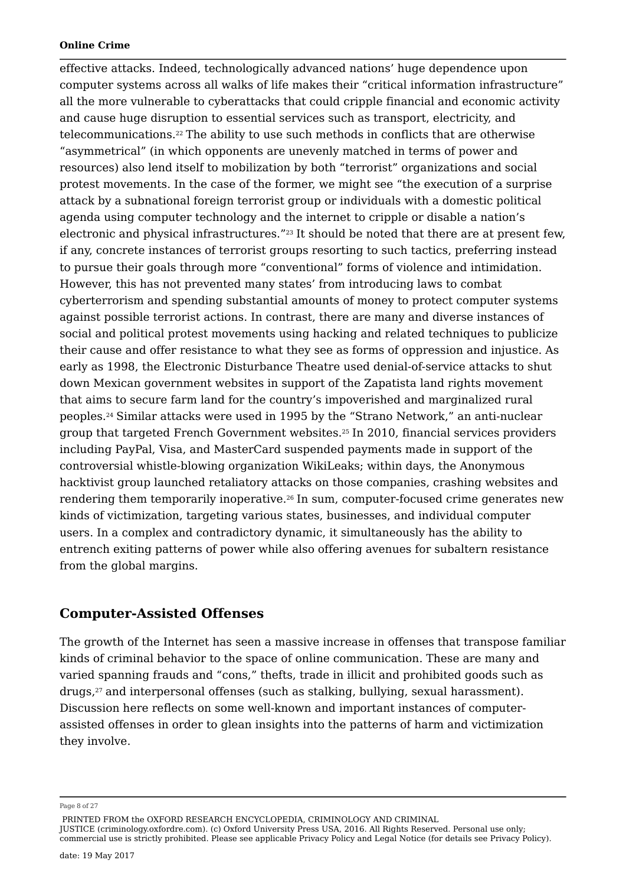effective attacks. Indeed, technologically advanced nations' huge dependence upon computer systems across all walks of life makes their "critical information infrastructure" all the more vulnerable to cyberattacks that could cripple financial and economic activity and cause huge disruption to essential services such as transport, electricity, and telecommunications. $^{22}$  The ability to use such methods in conflicts that are otherwise "asymmetrical" (in which opponents are unevenly matched in terms of power and resources) also lend itself to mobilization by both "terrorist" organizations and social protest movements. In the case of the former, we might see "the execution of a surprise attack by a subnational foreign terrorist group or individuals with a domestic political agenda using computer technology and the internet to cripple or disable a nation's electronic and physical infrastructures." $^{\scriptscriptstyle 23}$  It should be noted that there are at present few, if any, concrete instances of terrorist groups resorting to such tactics, preferring instead to pursue their goals through more "conventional" forms of violence and intimidation. However, this has not prevented many states' from introducing laws to combat cyberterrorism and spending substantial amounts of money to protect computer systems against possible terrorist actions. In contrast, there are many and diverse instances of social and political protest movements using hacking and related techniques to publicize their cause and offer resistance to what they see as forms of oppression and injustice. As early as 1998, the Electronic Disturbance Theatre used denial-of-service attacks to shut down Mexican government websites in support of the Zapatista land rights movement that aims to secure farm land for the country's impoverished and marginalized rural peoples.<sup>24</sup> Similar attacks were used in 1995 by the "Strano Network," an anti-nuclear group that targeted French Government websites.<sup>25</sup> In 2010, financial services providers including PayPal, Visa, and MasterCard suspended payments made in support of the controversial whistle-blowing organization WikiLeaks; within days, the Anonymous hacktivist group launched retaliatory attacks on those companies, crashing websites and rendering them temporarily inoperative. $^{26}$  In sum, computer-focused crime generates new kinds of victimization, targeting various states, businesses, and individual computer users. In a complex and contradictory dynamic, it simultaneously has the ability to entrench exiting patterns of power while also offering avenues for subaltern resistance from the global margins.

### **Computer-Assisted Offenses**

The growth of the Internet has seen a massive increase in offenses that transpose familiar kinds of criminal behavior to the space of online communication. These are many and varied spanning frauds and "cons," thefts, trade in illicit and prohibited goods such as drugs, $^{\rm 27}$  and interpersonal offenses (such as stalking, bullying, sexual harassment). Discussion here reflects on some well-known and important instances of computerassisted offenses in order to glean insights into the patterns of harm and victimization they involve.

Page 8 of 27

PRINTED FROM the OXFORD RESEARCH ENCYCLOPEDIA, CRIMINOLOGY AND CRIMINAL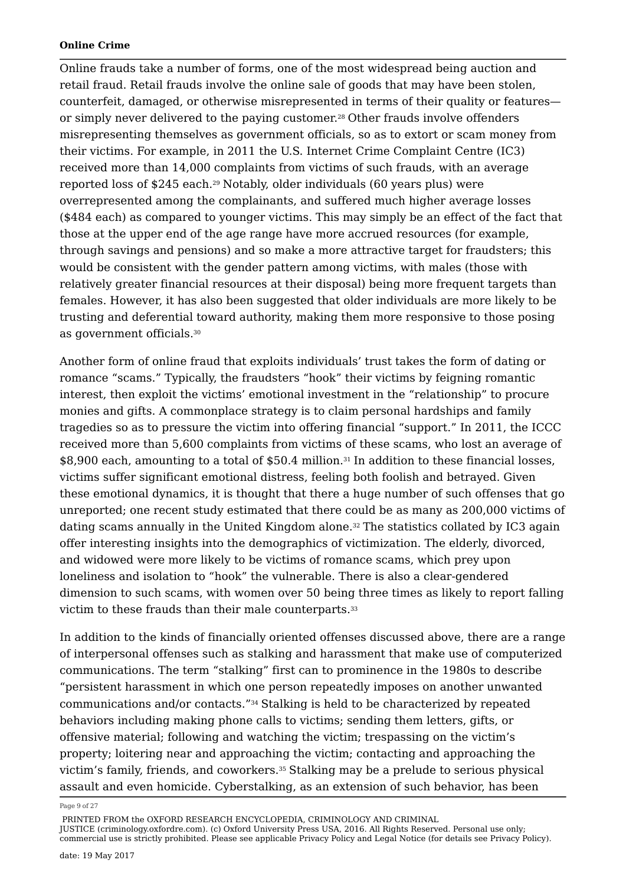Online frauds take a number of forms, one of the most widespread being auction and retail fraud. Retail frauds involve the online sale of goods that may have been stolen, counterfeit, damaged, or otherwise misrepresented in terms of their quality or features or simply never delivered to the paying customer. $^{\rm 28}$  Other frauds involve offenders misrepresenting themselves as government officials, so as to extort or scam money from their victims. For example, in 2011 the U.S. Internet Crime Complaint Centre (IC3) received more than 14,000 complaints from victims of such frauds, with an average reported loss of \$245 each.<sup>29</sup> Notably, older individuals (60 years plus) were overrepresented among the complainants, and suffered much higher average losses (\$484 each) as compared to younger victims. This may simply be an effect of the fact that those at the upper end of the age range have more accrued resources (for example, through savings and pensions) and so make a more attractive target for fraudsters; this would be consistent with the gender pattern among victims, with males (those with relatively greater financial resources at their disposal) being more frequent targets than females. However, it has also been suggested that older individuals are more likely to be trusting and deferential toward authority, making them more responsive to those posing as government officials. 30

Another form of online fraud that exploits individuals' trust takes the form of dating or romance "scams." Typically, the fraudsters "hook" their victims by feigning romantic interest, then exploit the victims' emotional investment in the "relationship" to procure monies and gifts. A commonplace strategy is to claim personal hardships and family tragedies so as to pressure the victim into offering financial "support." In 2011, the ICCC received more than 5,600 complaints from victims of these scams, who lost an average of  $$8,900$  each, amounting to a total of  $$50.4$  million. $^{\rm 31}$  In addition to these financial losses, victims suffer significant emotional distress, feeling both foolish and betrayed. Given these emotional dynamics, it is thought that there a huge number of such offenses that go unreported; one recent study estimated that there could be as many as 200,000 victims of dating scams annually in the United Kingdom alone. $^{\rm 32}$  The statistics collated by IC3 again offer interesting insights into the demographics of victimization. The elderly, divorced, and widowed were more likely to be victims of romance scams, which prey upon loneliness and isolation to "hook" the vulnerable. There is also a clear-gendered dimension to such scams, with women over 50 being three times as likely to report falling victim to these frauds than their male counterparts. 33

In addition to the kinds of financially oriented offenses discussed above, there are a range of interpersonal offenses such as stalking and harassment that make use of computerized communications. The term "stalking" first can to prominence in the 1980s to describe "persistent harassment in which one person repeatedly imposes on another unwanted communications and/or contacts." $^{34}$  Stalking is held to be characterized by repeated behaviors including making phone calls to victims; sending them letters, gifts, or offensive material; following and watching the victim; trespassing on the victim's property; loitering near and approaching the victim; contacting and approaching the victim's family, friends, and coworkers. $^{\rm 35}$  Stalking may be a prelude to serious physical assault and even homicide. Cyberstalking, as an extension of such behavior, has been

Page 9 of 27

PRINTED FROM the OXFORD RESEARCH ENCYCLOPEDIA, CRIMINOLOGY AND CRIMINAL

JUSTICE (criminology.oxfordre.com). (c) Oxford University Press USA, 2016. All Rights Reserved. Personal use only; commercial use is strictly prohibited. Please see applicable Privacy Policy and Legal Notice (for details see Privacy Policy).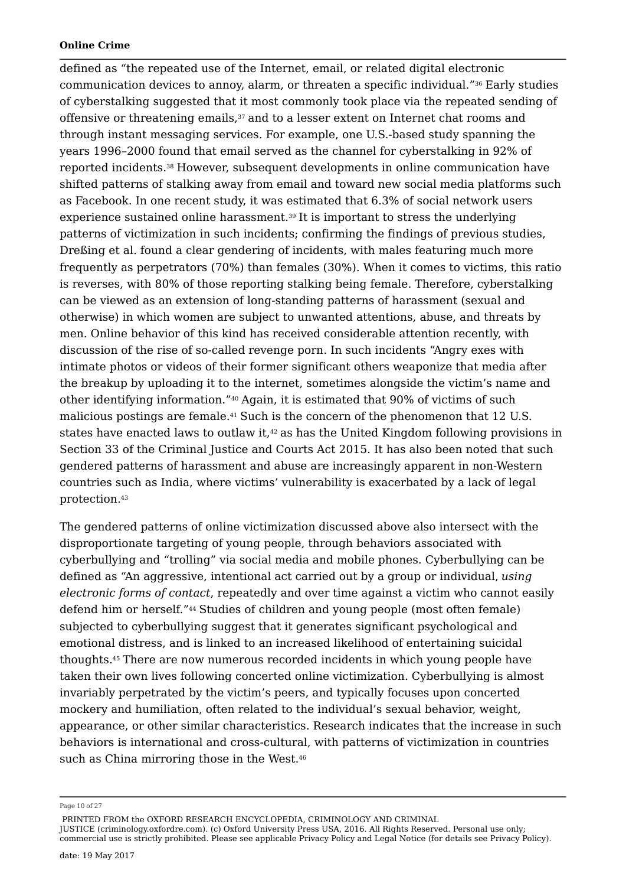defined as "the repeated use of the Internet, email, or related digital electronic communication devices to annoy, alarm, or threaten a specific individual." $^{\rm 36}$  Early studies of cyberstalking suggested that it most commonly took place via the repeated sending of offensive or threatening emails, $^{\mathfrak{z} \mathfrak{z}}$  and to a lesser extent on Internet chat rooms and through instant messaging services. For example, one U.S.-based study spanning the years 1996–2000 found that email served as the channel for cyberstalking in 92% of reported incidents.38 However, subsequent developments in online communication have shifted patterns of stalking away from email and toward new social media platforms such as Facebook. In one recent study, it was estimated that 6.3% of social network users experience sustained online harassment. $^{\rm 39}$  It is important to stress the underlying patterns of victimization in such incidents; confirming the findings of previous studies, Dreßing et al. found a clear gendering of incidents, with males featuring much more frequently as perpetrators (70%) than females (30%). When it comes to victims, this ratio is reverses, with 80% of those reporting stalking being female. Therefore, cyberstalking can be viewed as an extension of long-standing patterns of harassment (sexual and otherwise) in which women are subject to unwanted attentions, abuse, and threats by men. Online behavior of this kind has received considerable attention recently, with discussion of the rise of so-called revenge porn. In such incidents "Angry exes with intimate photos or videos of their former significant others weaponize that media after the breakup by uploading it to the internet, sometimes alongside the victim's name and other identifying information."40 Again, it is estimated that 90% of victims of such malicious postings are female. $^{41}$  Such is the concern of the phenomenon that 12 U.S.  $\,$ states have enacted laws to outlaw it, $\scriptstyle\rm 42$  as has the United Kingdom following provisions in Section 33 of the Criminal Justice and Courts Act 2015. It has also been noted that such gendered patterns of harassment and abuse are increasingly apparent in non-Western countries such as India, where victims' vulnerability is exacerbated by a lack of legal protection. 43

The gendered patterns of online victimization discussed above also intersect with the disproportionate targeting of young people, through behaviors associated with cyberbullying and "trolling" via social media and mobile phones. Cyberbullying can be defined as "An aggressive, intentional act carried out by a group or individual, *using electronic forms of contact*, repeatedly and over time against a victim who cannot easily defend him or herself."<sup>44</sup> Studies of children and young people (most often female) subjected to cyberbullying suggest that it generates significant psychological and emotional distress, and is linked to an increased likelihood of entertaining suicidal thoughts.45 There are now numerous recorded incidents in which young people have taken their own lives following concerted online victimization. Cyberbullying is almost invariably perpetrated by the victim's peers, and typically focuses upon concerted mockery and humiliation, often related to the individual's sexual behavior, weight, appearance, or other similar characteristics. Research indicates that the increase in such behaviors is international and cross-cultural, with patterns of victimization in countries such as China mirroring those in the West. 46

Page 10 of 27

PRINTED FROM the OXFORD RESEARCH ENCYCLOPEDIA, CRIMINOLOGY AND CRIMINAL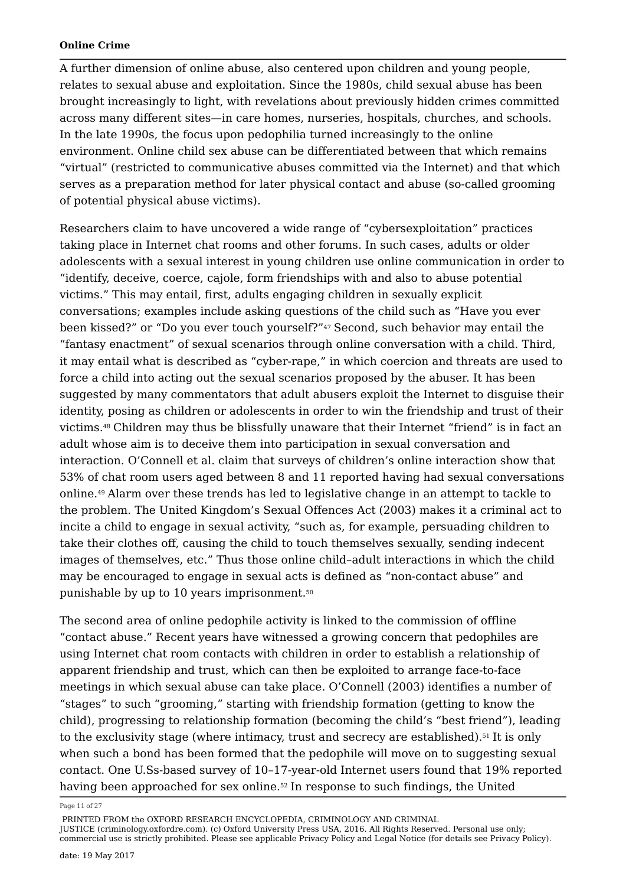A further dimension of online abuse, also centered upon children and young people, relates to sexual abuse and exploitation. Since the 1980s, child sexual abuse has been brought increasingly to light, with revelations about previously hidden crimes committed across many different sites—in care homes, nurseries, hospitals, churches, and schools. In the late 1990s, the focus upon pedophilia turned increasingly to the online environment. Online child sex abuse can be differentiated between that which remains "virtual" (restricted to communicative abuses committed via the Internet) and that which serves as a preparation method for later physical contact and abuse (so-called grooming of potential physical abuse victims).

Researchers claim to have uncovered a wide range of "cybersexploitation" practices taking place in Internet chat rooms and other forums. In such cases, adults or older adolescents with a sexual interest in young children use online communication in order to "identify, deceive, coerce, cajole, form friendships with and also to abuse potential victims." This may entail, first, adults engaging children in sexually explicit conversations; examples include asking questions of the child such as "Have you ever been kissed?" or "Do you ever touch yourself?"47 Second, such behavior may entail the "fantasy enactment" of sexual scenarios through online conversation with a child. Third, it may entail what is described as "cyber-rape," in which coercion and threats are used to force a child into acting out the sexual scenarios proposed by the abuser. It has been suggested by many commentators that adult abusers exploit the Internet to disguise their identity, posing as children or adolescents in order to win the friendship and trust of their victims.48 Children may thus be blissfully unaware that their Internet "friend" is in fact an adult whose aim is to deceive them into participation in sexual conversation and interaction. O'Connell et al. claim that surveys of children's online interaction show that 53% of chat room users aged between 8 and 11 reported having had sexual conversations online.49 Alarm over these trends has led to legislative change in an attempt to tackle to the problem. The United Kingdom's Sexual Offences Act (2003) makes it a criminal act to incite a child to engage in sexual activity, "such as, for example, persuading children to take their clothes off, causing the child to touch themselves sexually, sending indecent images of themselves, etc." Thus those online child–adult interactions in which the child may be encouraged to engage in sexual acts is defined as "non-contact abuse" and punishable by up to 10 years imprisonment. 50

The second area of online pedophile activity is linked to the commission of offline "contact abuse." Recent years have witnessed a growing concern that pedophiles are using Internet chat room contacts with children in order to establish a relationship of apparent friendship and trust, which can then be exploited to arrange face-to-face meetings in which sexual abuse can take place. O'Connell (2003) identifies a number of "stages" to such "grooming," starting with friendship formation (getting to know the child), progressing to relationship formation (becoming the child's "best friend"), leading to the exclusivity stage (where intimacy, trust and secrecy are established). $^{51}$  It is only when such a bond has been formed that the pedophile will move on to suggesting sexual contact. One U.Ss-based survey of 10–17-year-old Internet users found that 19% reported having been approached for sex online.<sup>52</sup> In response to such findings, the United

Page 11 of 27

PRINTED FROM the OXFORD RESEARCH ENCYCLOPEDIA, CRIMINOLOGY AND CRIMINAL

JUSTICE (criminology.oxfordre.com). (c) Oxford University Press USA, 2016. All Rights Reserved. Personal use only; commercial use is strictly prohibited. Please see applicable Privacy Policy and Legal Notice (for details see Privacy Policy).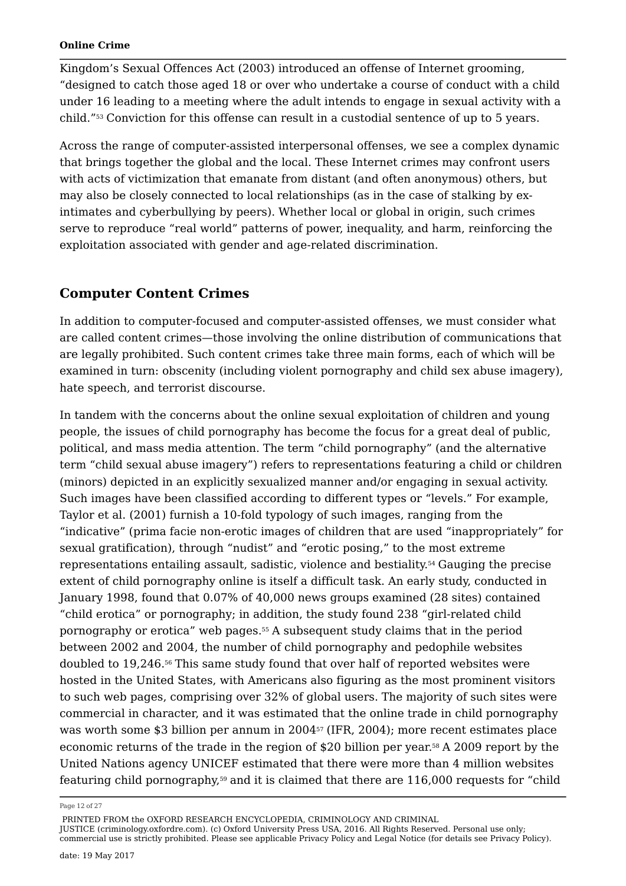Kingdom's Sexual Offences Act (2003) introduced an offense of Internet grooming, "designed to catch those aged 18 or over who undertake a course of conduct with a child under 16 leading to a meeting where the adult intends to engage in sexual activity with a child." $^{\rm s_3}$  Conviction for this offense can result in a custodial sentence of up to 5 years.

Across the range of computer-assisted interpersonal offenses, we see a complex dynamic that brings together the global and the local. These Internet crimes may confront users with acts of victimization that emanate from distant (and often anonymous) others, but may also be closely connected to local relationships (as in the case of stalking by exintimates and cyberbullying by peers). Whether local or global in origin, such crimes serve to reproduce "real world" patterns of power, inequality, and harm, reinforcing the exploitation associated with gender and age-related discrimination.

### **Computer Content Crimes**

In addition to computer-focused and computer-assisted offenses, we must consider what are called content crimes—those involving the online distribution of communications that are legally prohibited. Such content crimes take three main forms, each of which will be examined in turn: obscenity (including violent pornography and child sex abuse imagery), hate speech, and terrorist discourse.

In tandem with the concerns about the online sexual exploitation of children and young people, the issues of child pornography has become the focus for a great deal of public, political, and mass media attention. The term "child pornography" (and the alternative term "child sexual abuse imagery") refers to representations featuring a child or children (minors) depicted in an explicitly sexualized manner and/or engaging in sexual activity. Such images have been classified according to different types or "levels." For example, Taylor et al. (2001) furnish a 10-fold typology of such images, ranging from the "indicative" (prima facie non-erotic images of children that are used "inappropriately" for sexual gratification), through "nudist" and "erotic posing," to the most extreme representations entailing assault, sadistic, violence and bestiality.54 Gauging the precise extent of child pornography online is itself a difficult task. An early study, conducted in January 1998, found that 0.07% of 40,000 news groups examined (28 sites) contained "child erotica" or pornography; in addition, the study found 238 "girl-related child pornography or erotica" web pages. $^{55}$  A subsequent study claims that in the period between 2002 and 2004, the number of child pornography and pedophile websites doubled to 19,246.56 This same study found that over half of reported websites were hosted in the United States, with Americans also figuring as the most prominent visitors to such web pages, comprising over 32% of global users. The majority of such sites were commercial in character, and it was estimated that the online trade in child pornography was worth some \$3 billion per annum in 2004 $^{\rm 57}$  (IFR, 2004); more recent estimates place economic returns of the trade in the region of \$20 billion per year.58 A 2009 report by the United Nations agency UNICEF estimated that there were more than 4 million websites featuring child pornography, $^{59}$  and it is claimed that there are  $116,\!000$  requests for "child

Page 12 of 27

PRINTED FROM the OXFORD RESEARCH ENCYCLOPEDIA, CRIMINOLOGY AND CRIMINAL

JUSTICE (criminology.oxfordre.com). (c) Oxford University Press USA, 2016. All Rights Reserved. Personal use only; commercial use is strictly prohibited. Please see applicable Privacy Policy and Legal Notice (for details see Privacy Policy).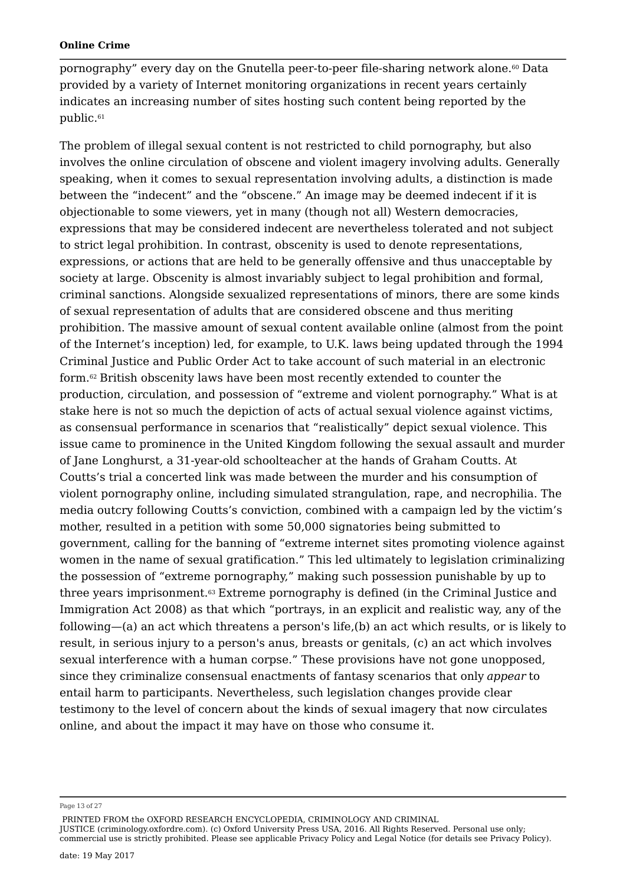pornography" every day on the Gnutella peer-to-peer file-sharing network alone.<sup>60</sup> Data provided by a variety of Internet monitoring organizations in recent years certainly indicates an increasing number of sites hosting such content being reported by the public. 61

The problem of illegal sexual content is not restricted to child pornography, but also involves the online circulation of obscene and violent imagery involving adults. Generally speaking, when it comes to sexual representation involving adults, a distinction is made between the "indecent" and the "obscene." An image may be deemed indecent if it is objectionable to some viewers, yet in many (though not all) Western democracies, expressions that may be considered indecent are nevertheless tolerated and not subject to strict legal prohibition. In contrast, obscenity is used to denote representations, expressions, or actions that are held to be generally offensive and thus unacceptable by society at large. Obscenity is almost invariably subject to legal prohibition and formal, criminal sanctions. Alongside sexualized representations of minors, there are some kinds of sexual representation of adults that are considered obscene and thus meriting prohibition. The massive amount of sexual content available online (almost from the point of the Internet's inception) led, for example, to U.K. laws being updated through the 1994 Criminal Justice and Public Order Act to take account of such material in an electronic form. $\rm ^{62}$  British obscenity laws have been most recently extended to counter the production, circulation, and possession of "extreme and violent pornography." What is at stake here is not so much the depiction of acts of actual sexual violence against victims, as consensual performance in scenarios that "realistically" depict sexual violence. This issue came to prominence in the United Kingdom following the sexual assault and murder of Jane Longhurst, a 31-year-old schoolteacher at the hands of Graham Coutts. At Coutts's trial a concerted link was made between the murder and his consumption of violent pornography online, including simulated strangulation, rape, and necrophilia. The media outcry following Coutts's conviction, combined with a campaign led by the victim's mother, resulted in a petition with some 50,000 signatories being submitted to government, calling for the banning of "extreme internet sites promoting violence against women in the name of sexual gratification." This led ultimately to legislation criminalizing the possession of "extreme pornography," making such possession punishable by up to three years imprisonment. $\rm ^{63}$  Extreme pornography is defined (in the Criminal Justice and Immigration Act 2008) as that which "portrays, in an explicit and realistic way, any of the following—(a) an act which threatens a person's life,(b) an act which results, or is likely to result, in serious injury to a person's anus, breasts or genitals, (c) an act which involves sexual interference with a human corpse." These provisions have not gone unopposed, since they criminalize consensual enactments of fantasy scenarios that only *appear* to entail harm to participants. Nevertheless, such legislation changes provide clear testimony to the level of concern about the kinds of sexual imagery that now circulates online, and about the impact it may have on those who consume it.

Page 13 of 27

PRINTED FROM the OXFORD RESEARCH ENCYCLOPEDIA, CRIMINOLOGY AND CRIMINAL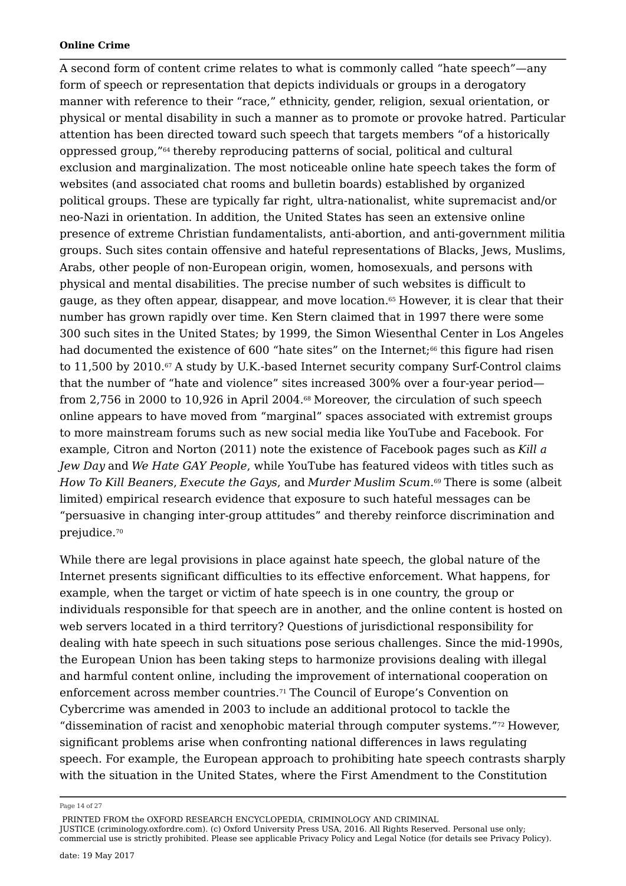A second form of content crime relates to what is commonly called "hate speech"—any form of speech or representation that depicts individuals or groups in a derogatory manner with reference to their "race," ethnicity, gender, religion, sexual orientation, or physical or mental disability in such a manner as to promote or provoke hatred. Particular attention has been directed toward such speech that targets members "of a historically oppressed group,"64 thereby reproducing patterns of social, political and cultural exclusion and marginalization. The most noticeable online hate speech takes the form of websites (and associated chat rooms and bulletin boards) established by organized political groups. These are typically far right, ultra-nationalist, white supremacist and/or neo-Nazi in orientation. In addition, the United States has seen an extensive online presence of extreme Christian fundamentalists, anti-abortion, and anti-government militia groups. Such sites contain offensive and hateful representations of Blacks, Jews, Muslims, Arabs, other people of non-European origin, women, homosexuals, and persons with physical and mental disabilities. The precise number of such websites is difficult to gauge, as they often appear, disappear, and move location.<sup>65</sup> However, it is clear that their number has grown rapidly over time. Ken Stern claimed that in 1997 there were some 300 such sites in the United States; by 1999, the Simon Wiesenthal Center in Los Angeles had documented the existence of 600 "hate sites" on the Internet;<sup>66</sup> this figure had risen to  $11{,}500$  by  $2010$ . $\mathrm{^{67}A}$  study by U.K.-based Internet security company Surf-Control claims that the number of "hate and violence" sites increased 300% over a four-year period from 2,756 in 2000 to 10,926 in April 2004. $^{\rm{68}}$  Moreover, the circulation of such speech online appears to have moved from "marginal" spaces associated with extremist groups to more mainstream forums such as new social media like YouTube and Facebook. For example, Citron and Norton (2011) note the existence of Facebook pages such as *Kill a Jew Day* and *We Hate GAY People*, while YouTube has featured videos with titles such as *How To Kill Beaners*, *Execute the Gays*, and *Murder Muslim Scum*. There is some (albeit 69 limited) empirical research evidence that exposure to such hateful messages can be "persuasive in changing inter-group attitudes" and thereby reinforce discrimination and prejudice. 70

While there are legal provisions in place against hate speech, the global nature of the Internet presents significant difficulties to its effective enforcement. What happens, for example, when the target or victim of hate speech is in one country, the group or individuals responsible for that speech are in another, and the online content is hosted on web servers located in a third territory? Questions of jurisdictional responsibility for dealing with hate speech in such situations pose serious challenges. Since the mid-1990s, the European Union has been taking steps to harmonize provisions dealing with illegal and harmful content online, including the improvement of international cooperation on enforcement across member countries.<sup>71</sup> The Council of Europe's Convention on Cybercrime was amended in 2003 to include an additional protocol to tackle the "dissemination of racist and xenophobic material through computer systems." $^{\prime\prime}$  However, significant problems arise when confronting national differences in laws regulating speech. For example, the European approach to prohibiting hate speech contrasts sharply with the situation in the United States, where the First Amendment to the Constitution

Page 14 of 27

PRINTED FROM the OXFORD RESEARCH ENCYCLOPEDIA, CRIMINOLOGY AND CRIMINAL

JUSTICE (criminology.oxfordre.com). (c) Oxford University Press USA, 2016. All Rights Reserved. Personal use only; commercial use is strictly prohibited. Please see applicable Privacy Policy and Legal Notice (for details see Privacy Policy).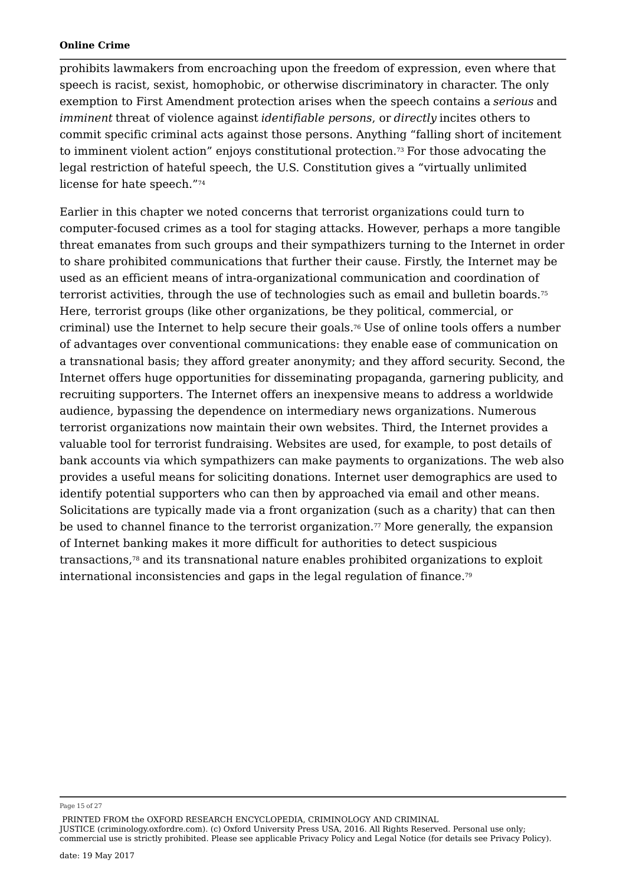prohibits lawmakers from encroaching upon the freedom of expression, even where that speech is racist, sexist, homophobic, or otherwise discriminatory in character. The only exemption to First Amendment protection arises when the speech contains a *serious* and *imminent* threat of violence against *identifiable persons*, or *directly* incites others to commit specific criminal acts against those persons. Anything "falling short of incitement to imminent violent action" enjoys constitutional protection. $^{\rm 73}$  For those advocating the legal restriction of hateful speech, the U.S. Constitution gives a "virtually unlimited license for hate speech." 74

Earlier in this chapter we noted concerns that terrorist organizations could turn to computer-focused crimes as a tool for staging attacks. However, perhaps a more tangible threat emanates from such groups and their sympathizers turning to the Internet in order to share prohibited communications that further their cause. Firstly, the Internet may be used as an efficient means of intra-organizational communication and coordination of terrorist activities, through the use of technologies such as email and bulletin boards. Here, terrorist groups (like other organizations, be they political, commercial, or criminal) use the Internet to help secure their goals. $^{\rm 76}$  Use of online tools offers a number of advantages over conventional communications: they enable ease of communication on a transnational basis; they afford greater anonymity; and they afford security. Second, the Internet offers huge opportunities for disseminating propaganda, garnering publicity, and recruiting supporters. The Internet offers an inexpensive means to address a worldwide audience, bypassing the dependence on intermediary news organizations. Numerous terrorist organizations now maintain their own websites. Third, the Internet provides a valuable tool for terrorist fundraising. Websites are used, for example, to post details of bank accounts via which sympathizers can make payments to organizations. The web also provides a useful means for soliciting donations. Internet user demographics are used to identify potential supporters who can then by approached via email and other means. Solicitations are typically made via a front organization (such as a charity) that can then be used to channel finance to the terrorist organization." More generally, the expansion of Internet banking makes it more difficult for authorities to detect suspicious transactions, $^{\mathrm{78}}$  and its transnational nature enables prohibited organizations to exploit international inconsistencies and gaps in the legal regulation of finance. 7975

Page 15 of 27

PRINTED FROM the OXFORD RESEARCH ENCYCLOPEDIA, CRIMINOLOGY AND CRIMINAL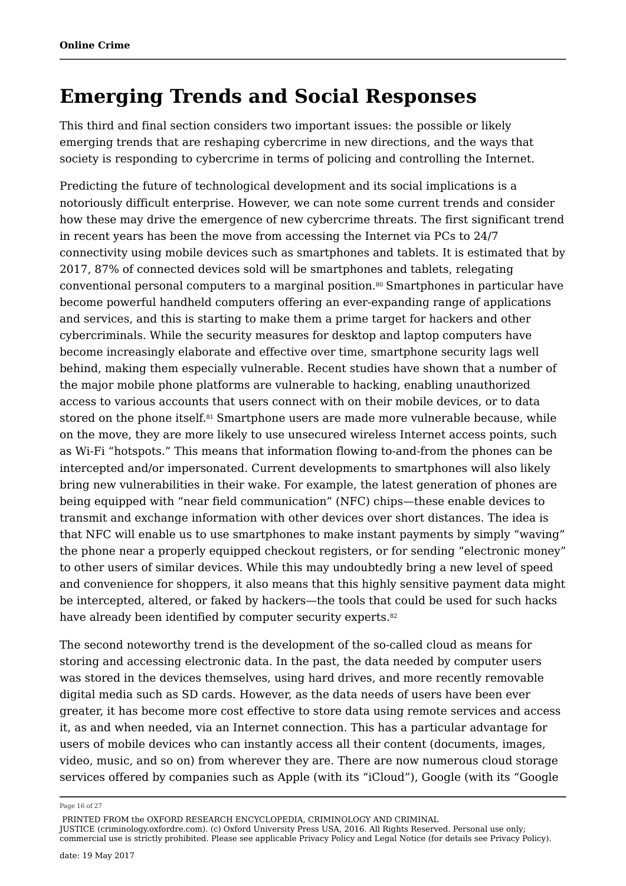# **Emerging Trends and Social Responses**

This third and final section considers two important issues: the possible or likely emerging trends that are reshaping cybercrime in new directions, and the ways that society is responding to cybercrime in terms of policing and controlling the Internet.

Predicting the future of technological development and its social implications is a notoriously difficult enterprise. However, we can note some current trends and consider how these may drive the emergence of new cybercrime threats. The first significant trend in recent years has been the move from accessing the Internet via PCs to 24/7 connectivity using mobile devices such as smartphones and tablets. It is estimated that by 2017, 87% of connected devices sold will be smartphones and tablets, relegating conventional personal computers to a marginal position. $^{\rm{so}}$  Smartphones in particular have become powerful handheld computers offering an ever-expanding range of applications and services, and this is starting to make them a prime target for hackers and other cybercriminals. While the security measures for desktop and laptop computers have become increasingly elaborate and effective over time, smartphone security lags well behind, making them especially vulnerable. Recent studies have shown that a number of the major mobile phone platforms are vulnerable to hacking, enabling unauthorized access to various accounts that users connect with on their mobile devices, or to data stored on the phone itself.<sup>81</sup> Smartphone users are made more vulnerable because, while on the move, they are more likely to use unsecured wireless Internet access points, such as Wi-Fi "hotspots." This means that information flowing to-and-from the phones can be intercepted and/or impersonated. Current developments to smartphones will also likely bring new vulnerabilities in their wake. For example, the latest generation of phones are being equipped with "near field communication" (NFC) chips—these enable devices to transmit and exchange information with other devices over short distances. The idea is that NFC will enable us to use smartphones to make instant payments by simply "waving" the phone near a properly equipped checkout registers, or for sending "electronic money" to other users of similar devices. While this may undoubtedly bring a new level of speed and convenience for shoppers, it also means that this highly sensitive payment data might be intercepted, altered, or faked by hackers—the tools that could be used for such hacks have already been identified by computer security experts. 82

The second noteworthy trend is the development of the so-called cloud as means for storing and accessing electronic data. In the past, the data needed by computer users was stored in the devices themselves, using hard drives, and more recently removable digital media such as SD cards. However, as the data needs of users have been ever greater, it has become more cost effective to store data using remote services and access it, as and when needed, via an Internet connection. This has a particular advantage for users of mobile devices who can instantly access all their content (documents, images, video, music, and so on) from wherever they are. There are now numerous cloud storage services offered by companies such as Apple (with its "iCloud"), Google (with its "Google

Page 16 of 27

PRINTED FROM the OXFORD RESEARCH ENCYCLOPEDIA, CRIMINOLOGY AND CRIMINAL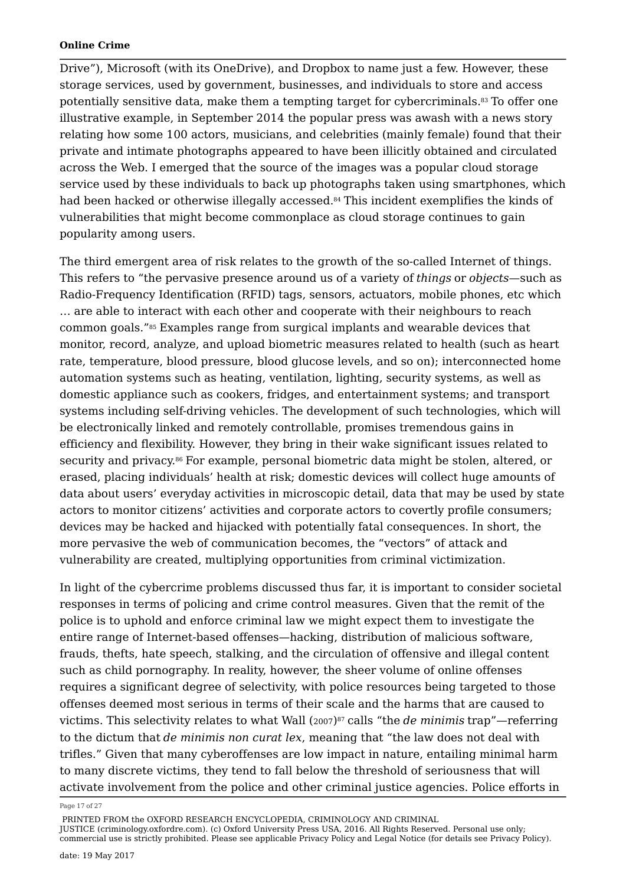Drive"), Microsoft (with its OneDrive), and Dropbox to name just a few. However, these storage services, used by government, businesses, and individuals to store and access potentially sensitive data, make them a tempting target for cybercriminals.83 To offer one illustrative example, in September 2014 the popular press was awash with a news story relating how some 100 actors, musicians, and celebrities (mainly female) found that their private and intimate photographs appeared to have been illicitly obtained and circulated across the Web. I emerged that the source of the images was a popular cloud storage service used by these individuals to back up photographs taken using smartphones, which had been hacked or otherwise illegally accessed.<sup>84</sup> This incident exemplifies the kinds of vulnerabilities that might become commonplace as cloud storage continues to gain popularity among users.

The third emergent area of risk relates to the growth of the so-called Internet of things. This refers to "the pervasive presence around us of a variety of *things* or *objects*—such as Radio-Frequency Identification (RFID) tags, sensors, actuators, mobile phones, etc which … are able to interact with each other and cooperate with their neighbours to reach common goals." Examples range from surgical implants and wearable devices that 85 monitor, record, analyze, and upload biometric measures related to health (such as heart rate, temperature, blood pressure, blood glucose levels, and so on); interconnected home automation systems such as heating, ventilation, lighting, security systems, as well as domestic appliance such as cookers, fridges, and entertainment systems; and transport systems including self-driving vehicles. The development of such technologies, which will be electronically linked and remotely controllable, promises tremendous gains in efficiency and flexibility. However, they bring in their wake significant issues related to security and privacy.<sup>86</sup> For example, personal biometric data might be stolen, altered, or erased, placing individuals' health at risk; domestic devices will collect huge amounts of data about users' everyday activities in microscopic detail, data that may be used by state actors to monitor citizens' activities and corporate actors to covertly profile consumers; devices may be hacked and hijacked with potentially fatal consequences. In short, the more pervasive the web of communication becomes, the "vectors" of attack and vulnerability are created, multiplying opportunities from criminal victimization.

In light of the cybercrime problems discussed thus far, it is important to consider societal responses in terms of policing and crime control measures. Given that the remit of the police is to uphold and enforce criminal law we might expect them to investigate the entire range of Internet-based offenses—hacking, distribution of malicious software, frauds, thefts, hate speech, stalking, and the circulation of offensive and illegal content such as child pornography. In reality, however, the sheer volume of online offenses requires a significant degree of selectivity, with police resources being targeted to those offenses deemed most serious in terms of their scale and the harms that are caused to victims. This selectivity relates to what Wall (2007)<sup>87</sup> calls "the *de minimis* trap"—referring to the dictum that *de minimis non curat lex*, meaning that "the law does not deal with trifles." Given that many cyberoffenses are low impact in nature, entailing minimal harm to many discrete victims, they tend to fall below the threshold of seriousness that will activate involvement from the police and other criminal justice agencies. Police efforts in

Page 17 of 27

PRINTED FROM the OXFORD RESEARCH ENCYCLOPEDIA, CRIMINOLOGY AND CRIMINAL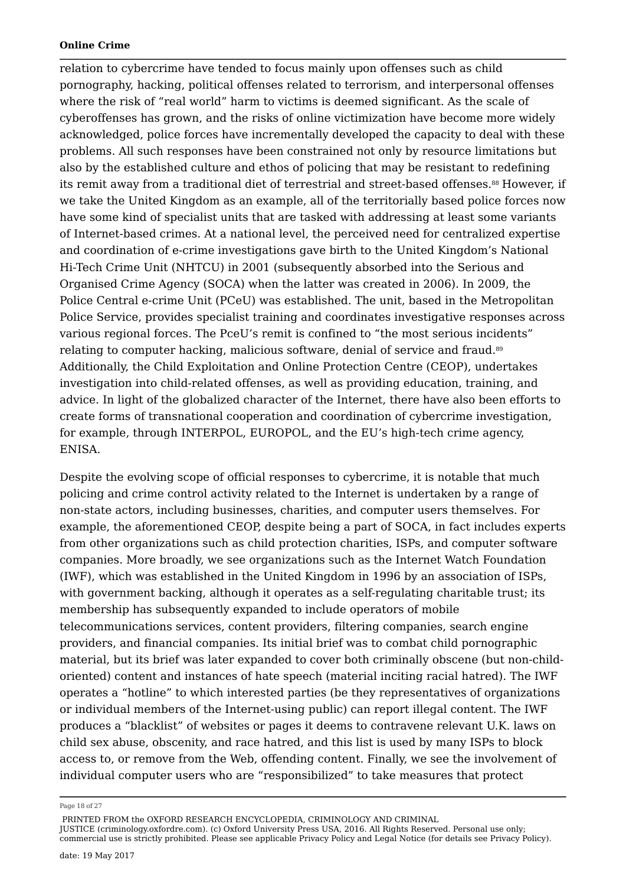relation to cybercrime have tended to focus mainly upon offenses such as child pornography, hacking, political offenses related to terrorism, and interpersonal offenses where the risk of "real world" harm to victims is deemed significant. As the scale of cyberoffenses has grown, and the risks of online victimization have become more widely acknowledged, police forces have incrementally developed the capacity to deal with these problems. All such responses have been constrained not only by resource limitations but also by the established culture and ethos of policing that may be resistant to redefining its remit away from a traditional diet of terrestrial and street-based offenses.88 However, if we take the United Kingdom as an example, all of the territorially based police forces now have some kind of specialist units that are tasked with addressing at least some variants of Internet-based crimes. At a national level, the perceived need for centralized expertise and coordination of e-crime investigations gave birth to the United Kingdom's National Hi-Tech Crime Unit (NHTCU) in 2001 (subsequently absorbed into the Serious and Organised Crime Agency (SOCA) when the latter was created in 2006). In 2009, the Police Central e-crime Unit (PCeU) was established. The unit, based in the Metropolitan Police Service, provides specialist training and coordinates investigative responses across various regional forces. The PceU's remit is confined to "the most serious incidents" relating to computer hacking, malicious software, denial of service and fraud. 89Additionally, the Child Exploitation and Online Protection Centre (CEOP), undertakes investigation into child-related offenses, as well as providing education, training, and advice. In light of the globalized character of the Internet, there have also been efforts to create forms of transnational cooperation and coordination of cybercrime investigation, for example, through INTERPOL, EUROPOL, and the EU's high-tech crime agency, ENISA.

Despite the evolving scope of official responses to cybercrime, it is notable that much policing and crime control activity related to the Internet is undertaken by a range of non-state actors, including businesses, charities, and computer users themselves. For example, the aforementioned CEOP, despite being a part of SOCA, in fact includes experts from other organizations such as child protection charities, ISPs, and computer software companies. More broadly, we see organizations such as the Internet Watch Foundation (IWF), which was established in the United Kingdom in 1996 by an association of ISPs, with government backing, although it operates as a self-regulating charitable trust; its membership has subsequently expanded to include operators of mobile telecommunications services, content providers, filtering companies, search engine providers, and financial companies. Its initial brief was to combat child pornographic material, but its brief was later expanded to cover both criminally obscene (but non-childoriented) content and instances of hate speech (material inciting racial hatred). The IWF operates a "hotline" to which interested parties (be they representatives of organizations or individual members of the Internet-using public) can report illegal content. The IWF produces a "blacklist" of websites or pages it deems to contravene relevant U.K. laws on child sex abuse, obscenity, and race hatred, and this list is used by many ISPs to block access to, or remove from the Web, offending content. Finally, we see the involvement of individual computer users who are "responsibilized" to take measures that protect

Page 18 of 27

PRINTED FROM the OXFORD RESEARCH ENCYCLOPEDIA, CRIMINOLOGY AND CRIMINAL

JUSTICE (criminology.oxfordre.com). (c) Oxford University Press USA, 2016. All Rights Reserved. Personal use only; commercial use is strictly prohibited. Please see applicable Privacy Policy and Legal Notice (for details see Privacy Policy).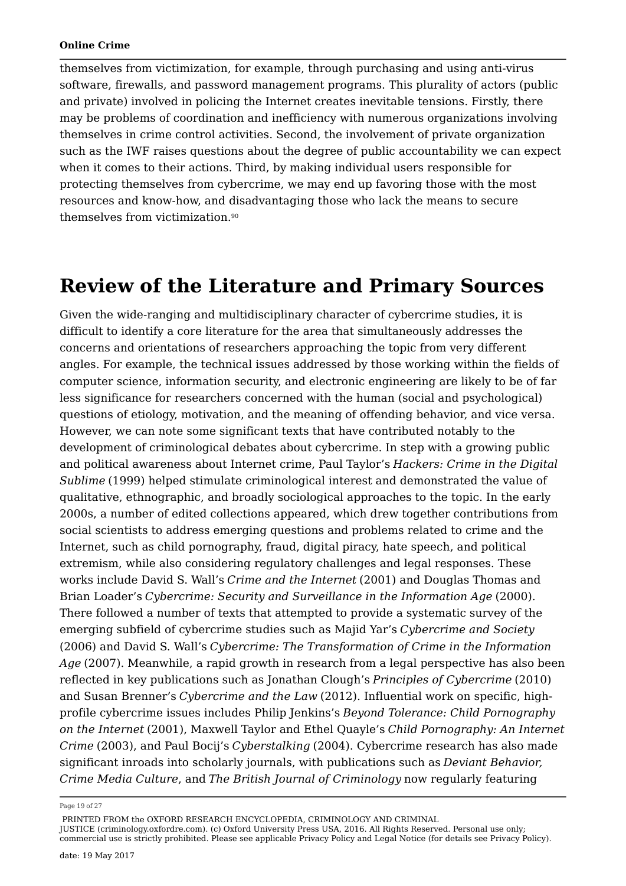themselves from victimization, for example, through purchasing and using anti-virus software, firewalls, and password management programs. This plurality of actors (public and private) involved in policing the Internet creates inevitable tensions. Firstly, there may be problems of coordination and inefficiency with numerous organizations involving themselves in crime control activities. Second, the involvement of private organization such as the IWF raises questions about the degree of public accountability we can expect when it comes to their actions. Third, by making individual users responsible for protecting themselves from cybercrime, we may end up favoring those with the most resources and know-how, and disadvantaging those who lack the means to secure themselves from victimization. 90

## **Review of the Literature and Primary Sources**

Given the wide-ranging and multidisciplinary character of cybercrime studies, it is difficult to identify a core literature for the area that simultaneously addresses the concerns and orientations of researchers approaching the topic from very different angles. For example, the technical issues addressed by those working within the fields of computer science, information security, and electronic engineering are likely to be of far less significance for researchers concerned with the human (social and psychological) questions of etiology, motivation, and the meaning of offending behavior, and vice versa. However, we can note some significant texts that have contributed notably to the development of criminological debates about cybercrime. In step with a growing public and political awareness about Internet crime, Paul Taylor's *Hackers: Crime in the Digital Sublime* (1999) helped stimulate criminological interest and demonstrated the value of qualitative, ethnographic, and broadly sociological approaches to the topic. In the early 2000s, a number of edited collections appeared, which drew together contributions from social scientists to address emerging questions and problems related to crime and the Internet, such as child pornography, fraud, digital piracy, hate speech, and political extremism, while also considering regulatory challenges and legal responses. These works include David S. Wall's *Crime and the Internet* (2001) and Douglas Thomas and Brian Loader's *Cybercrime: Security and Surveillance in the Information Age* (2000). There followed a number of texts that attempted to provide a systematic survey of the emerging subfield of cybercrime studies such as Majid Yar's *Cybercrime and Society* (2006) and David S. Wall's *Cybercrime: The Transformation of Crime in the Information Age* (2007). Meanwhile, a rapid growth in research from a legal perspective has also been reflected in key publications such as Jonathan Clough's *Principles of Cybercrime* (2010) and Susan Brenner's *Cybercrime and the Law* (2012). Influential work on specific, highprofile cybercrime issues includes Philip Jenkins's *Beyond Tolerance: Child Pornography on the Internet* (2001), Maxwell Taylor and Ethel Quayle's *Child Pornography: An Internet Crime* (2003), and Paul Bocij's *Cyberstalking* (2004). Cybercrime research has also made significant inroads into scholarly journals, with publications such as *Deviant Behavior, Crime Media Culture*, and *The British Journal of Criminology* now regularly featuring

Page 19 of 27

PRINTED FROM the OXFORD RESEARCH ENCYCLOPEDIA, CRIMINOLOGY AND CRIMINAL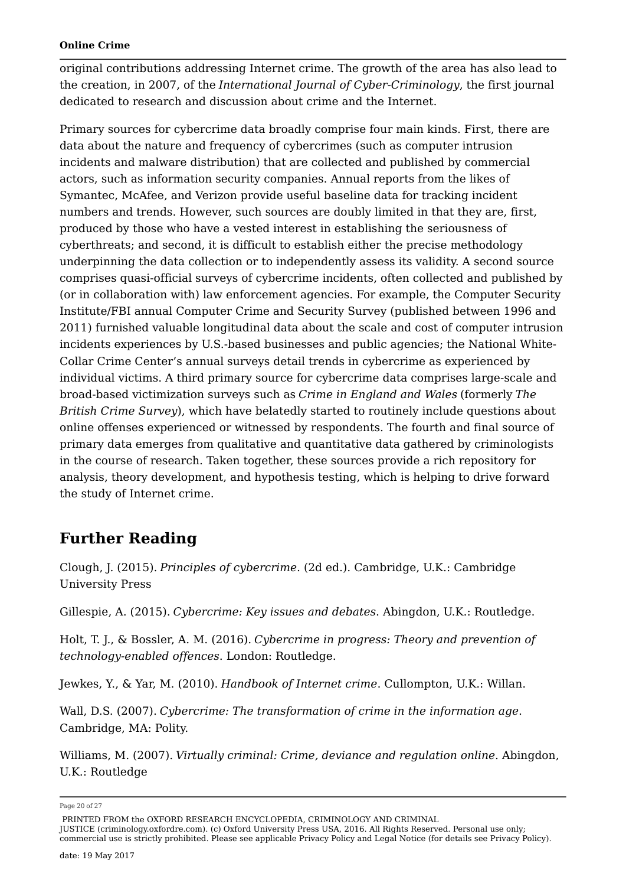original contributions addressing Internet crime. The growth of the area has also lead to the creation, in 2007, of the *International Journal of Cyber-Criminology*, the first journal dedicated to research and discussion about crime and the Internet.

Primary sources for cybercrime data broadly comprise four main kinds. First, there are data about the nature and frequency of cybercrimes (such as computer intrusion incidents and malware distribution) that are collected and published by commercial actors, such as information security companies. Annual reports from the likes of Symantec, McAfee, and Verizon provide useful baseline data for tracking incident numbers and trends. However, such sources are doubly limited in that they are, first, produced by those who have a vested interest in establishing the seriousness of cyberthreats; and second, it is difficult to establish either the precise methodology underpinning the data collection or to independently assess its validity. A second source comprises quasi-official surveys of cybercrime incidents, often collected and published by (or in collaboration with) law enforcement agencies. For example, the Computer Security Institute/FBI annual Computer Crime and Security Survey (published between 1996 and 2011) furnished valuable longitudinal data about the scale and cost of computer intrusion incidents experiences by U.S.-based businesses and public agencies; the National White-Collar Crime Center's annual surveys detail trends in cybercrime as experienced by individual victims. A third primary source for cybercrime data comprises large-scale and broad-based victimization surveys such as *Crime in England and Wales* (formerly *The British Crime Survey*), which have belatedly started to routinely include questions about online offenses experienced or witnessed by respondents. The fourth and final source of primary data emerges from qualitative and quantitative data gathered by criminologists in the course of research. Taken together, these sources provide a rich repository for analysis, theory development, and hypothesis testing, which is helping to drive forward the study of Internet crime.

## **Further Reading**

Clough, J. (2015). *Principles of cybercrime*. (2d ed.). Cambridge, U.K.: Cambridge University Press

Gillespie, A. (2015). *Cybercrime: Key issues and debates*. Abingdon, U.K.: Routledge.

Holt, T. J., & Bossler, A. M. (2016). *Cybercrime in progress: Theory and prevention of technology-enabled offences*. London: Routledge.

Jewkes, Y., & Yar, M. (2010). *Handbook of Internet crime*. Cullompton, U.K.: Willan.

Wall, D.S. (2007). *Cybercrime: The transformation of crime in the information age*. Cambridge, MA: Polity.

Williams, M. (2007). *Virtually criminal: Crime, deviance and regulation online*. Abingdon, U.K.: Routledge

Page 20 of 27

PRINTED FROM the OXFORD RESEARCH ENCYCLOPEDIA, CRIMINOLOGY AND CRIMINAL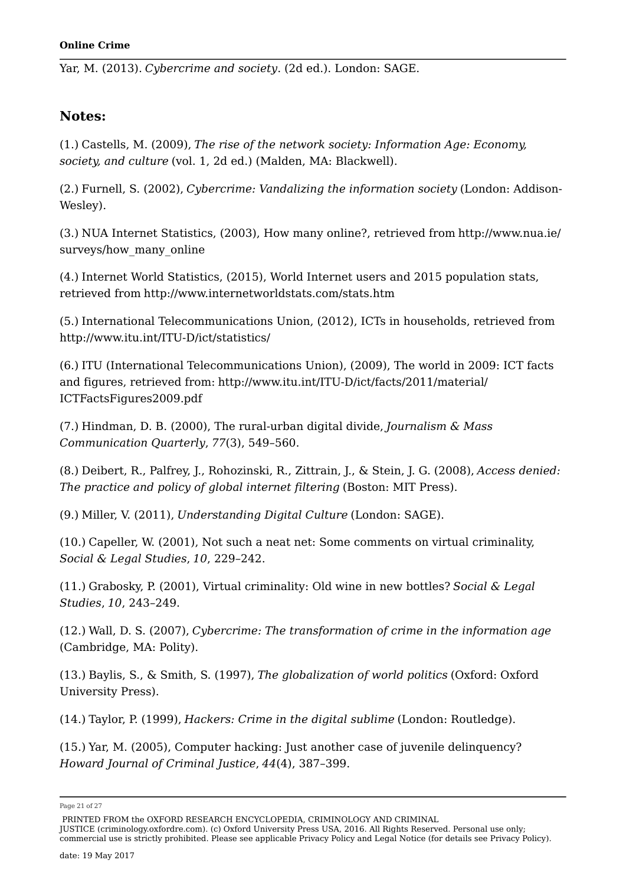Yar, M. (2013). *Cybercrime and society*. (2d ed.). London: SAGE.

### **Notes:**

(1.) Castells, M. (2009), *The rise of the network society: Information Age: Economy, society, and culture* (vol. 1, 2d ed.) (Malden, MA: Blackwell).

(2.) Furnell, S. (2002), *Cybercrime: Vandalizing the information society* (London: Addison-Wesley).

(3.) NUA Internet Statistics, (2003), How many online?, retrieved from http://www.nua.ie/ surveys/how many online

(4.) Internet World Statistics, (2015), World Internet users and 2015 population stats, retrieved from http://www.internetworldstats.com/stats.htm

(5.) International Telecommunications Union, (2012), ICTs in households, retrieved from http://www.itu.int/ITU-D/ict/statistics/

(6.) ITU (International Telecommunications Union), (2009), The world in 2009: ICT facts and figures, retrieved from: http://www.itu.int/ITU-D/ict/facts/2011/material/ ICTFactsFigures2009.pdf

(7.) Hindman, D. B. (2000), The rural-urban digital divide, *Journalism & Mass Communication Quarterly*, *77*(3), 549–560.

(8.) Deibert, R., Palfrey, J., Rohozinski, R., Zittrain, J., & Stein, J. G. (2008), *Access denied: The practice and policy of global internet filtering* (Boston: MIT Press).

(9.) Miller, V. (2011), *Understanding Digital Culture* (London: SAGE).

(10.) Capeller, W. (2001), Not such a neat net: Some comments on virtual criminality, *Social & Legal Studies*, *10*, 229–242.

(11.) Grabosky, P. (2001), Virtual criminality: Old wine in new bottles? *Social & Legal Studies*, *10*, 243–249.

(12.) Wall, D. S. (2007), *Cybercrime: The transformation of crime in the information age* (Cambridge, MA: Polity).

(13.) Baylis, S., & Smith, S. (1997), *The globalization of world politics* (Oxford: Oxford University Press).

(14.) Taylor, P. (1999), *Hackers: Crime in the digital sublime* (London: Routledge).

(15.) Yar, M. (2005), Computer hacking: Just another case of juvenile delinquency? *Howard Journal of Criminal Justice*, *44*(4), 387–399.

Page 21 of 27

PRINTED FROM the OXFORD RESEARCH ENCYCLOPEDIA, CRIMINOLOGY AND CRIMINAL

JUSTICE (criminology.oxfordre.com). (c) Oxford University Press USA, 2016. All Rights Reserved. Personal use only; commercial use is strictly prohibited. Please see applicable Privacy Policy and Legal Notice (for details see Privacy Policy).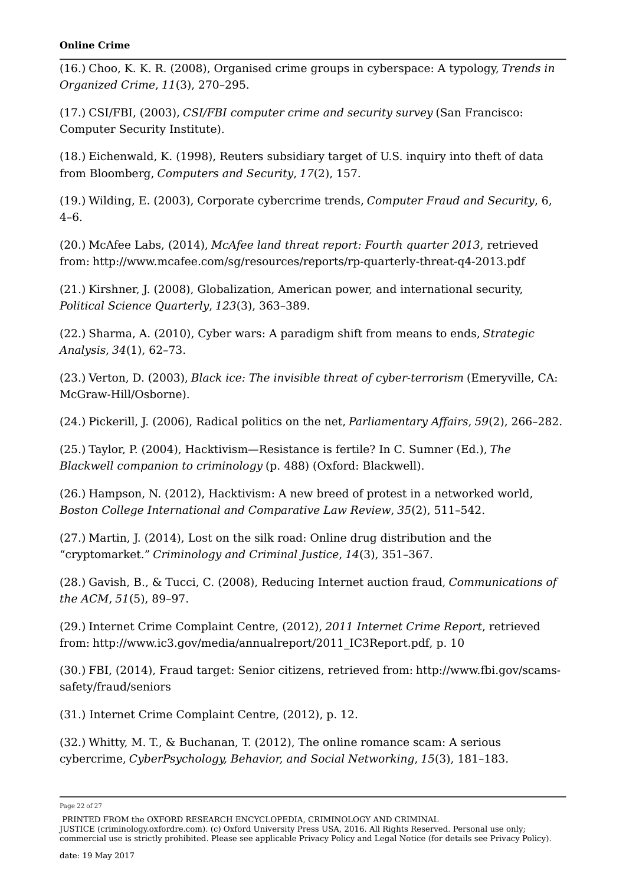(16.) Choo, K. K. R. (2008), Organised crime groups in cyberspace: A typology, *Trends in Organized Crime*, *11*(3), 270–295.

(17.) CSI/FBI, (2003), *CSI/FBI computer crime and security survey* (San Francisco: Computer Security Institute).

(18.) Eichenwald, K. (1998), Reuters subsidiary target of U.S. inquiry into theft of data from Bloomberg, *Computers and Security*, *17*(2), 157.

(19.) Wilding, E. (2003), Corporate cybercrime trends, *Computer Fraud and Security*, 6, 4–6.

(20.) McAfee Labs, (2014), *McAfee land threat report: Fourth quarter 2013*, retrieved from: http://www.mcafee.com/sg/resources/reports/rp-quarterly-threat-q4-2013.pdf

(21.) Kirshner, J. (2008), Globalization, American power, and international security, *Political Science Quarterly*, *123*(3), 363–389.

(22.) Sharma, A. (2010), Cyber wars: A paradigm shift from means to ends, *Strategic Analysis*, *34*(1), 62–73.

(23.) Verton, D. (2003), *Black ice: The invisible threat of cyber-terrorism* (Emeryville, CA: McGraw-Hill/Osborne).

(24.) Pickerill, J. (2006), Radical politics on the net, *Parliamentary Affairs*, *59*(2), 266–282.

(25.) Taylor, P. (2004), Hacktivism—Resistance is fertile? In C. Sumner (Ed.), *The Blackwell companion to criminology* (p. 488) (Oxford: Blackwell).

(26.) Hampson, N. (2012), Hacktivism: A new breed of protest in a networked world, *Boston College International and Comparative Law Review*, *35*(2), 511–542.

(27.) Martin, J. (2014), Lost on the silk road: Online drug distribution and the "cryptomarket." *Criminology and Criminal Justice*, *14*(3), 351–367.

(28.) Gavish, B., & Tucci, C. (2008), Reducing Internet auction fraud, *Communications of the ACM*, *51*(5), 89–97.

(29.) Internet Crime Complaint Centre, (2012), *2011 Internet Crime Report*, retrieved from: http://www.ic3.gov/media/annualreport/2011\_IC3Report.pdf, p. 10

(30.) FBI, (2014), Fraud target: Senior citizens, retrieved from: http://www.fbi.gov/scamssafety/fraud/seniors

(31.) Internet Crime Complaint Centre, (2012), p. 12.

(32.) Whitty, M. T., & Buchanan, T. (2012), The online romance scam: A serious cybercrime, *CyberPsychology, Behavior, and Social Networking*, *15*(3), 181–183.

Page 22 of 27

PRINTED FROM the OXFORD RESEARCH ENCYCLOPEDIA, CRIMINOLOGY AND CRIMINAL

JUSTICE (criminology.oxfordre.com). (c) Oxford University Press USA, 2016. All Rights Reserved. Personal use only; commercial use is strictly prohibited. Please see applicable Privacy Policy and Legal Notice (for details see Privacy Policy).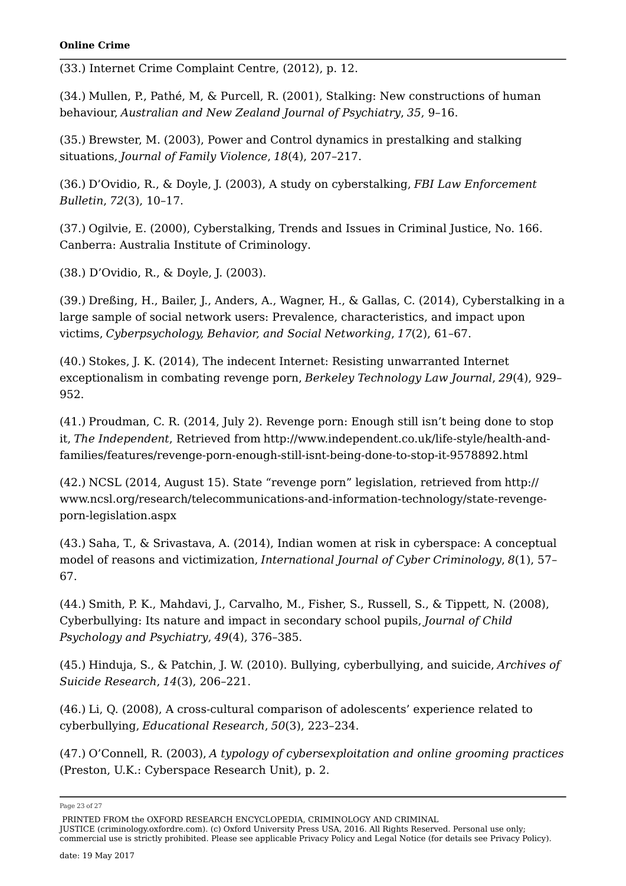(33.) Internet Crime Complaint Centre, (2012), p. 12.

(34.) Mullen, P., Pathé, M, & Purcell, R. (2001), Stalking: New constructions of human behaviour, *Australian and New Zealand Journal of Psychiatry*, *35*, 9–16.

(35.) Brewster, M. (2003), Power and Control dynamics in prestalking and stalking situations, *Journal of Family Violence*, *18*(4), 207–217.

(36.) D'Ovidio, R., & Doyle, J. (2003), A study on cyberstalking, *FBI Law Enforcement Bulletin*, *72*(3), 10–17.

(37.) Ogilvie, E. (2000), Cyberstalking, Trends and Issues in Criminal Justice, No. 166. Canberra: Australia Institute of Criminology.

(38.) D'Ovidio, R., & Doyle, J. (2003).

(39.) Dreßing, H., Bailer, J., Anders, A., Wagner, H., & Gallas, C. (2014), Cyberstalking in a large sample of social network users: Prevalence, characteristics, and impact upon victims, *Cyberpsychology, Behavior, and Social Networking*, *17*(2), 61–67.

(40.) Stokes, J. K. (2014), The indecent Internet: Resisting unwarranted Internet exceptionalism in combating revenge porn, *Berkeley Technology Law Journal*, *29*(4), 929– 952.

(41.) Proudman, C. R. (2014, July 2). Revenge porn: Enough still isn't being done to stop it, *The Independent*, Retrieved from http://www.independent.co.uk/life-style/health-andfamilies/features/revenge-porn-enough-still-isnt-being-done-to-stop-it-9578892.html

(42.) NCSL (2014, August 15). State "revenge porn" legislation, retrieved from http:// www.ncsl.org/research/telecommunications-and-information-technology/state-revengeporn-legislation.aspx

(43.) Saha, T., & Srivastava, A. (2014), Indian women at risk in cyberspace: A conceptual model of reasons and victimization, *International Journal of Cyber Criminology*, *8*(1), 57– 67.

(44.) Smith, P. K., Mahdavi, J., Carvalho, M., Fisher, S., Russell, S., & Tippett, N. (2008), Cyberbullying: Its nature and impact in secondary school pupils, *Journal of Child Psychology and Psychiatry*, *49*(4), 376–385.

(45.) Hinduja, S., & Patchin, J. W. (2010). Bullying, cyberbullying, and suicide, *Archives of Suicide Research*, *14*(3), 206–221.

(46.) Li, Q. (2008), A cross-cultural comparison of adolescents' experience related to cyberbullying, *Educational Research*, *50*(3), 223–234.

(47.) O'Connell, R. (2003), *A typology of cybersexploitation and online grooming practices* (Preston, U.K.: Cyberspace Research Unit), p. 2.

Page 23 of 27

PRINTED FROM the OXFORD RESEARCH ENCYCLOPEDIA, CRIMINOLOGY AND CRIMINAL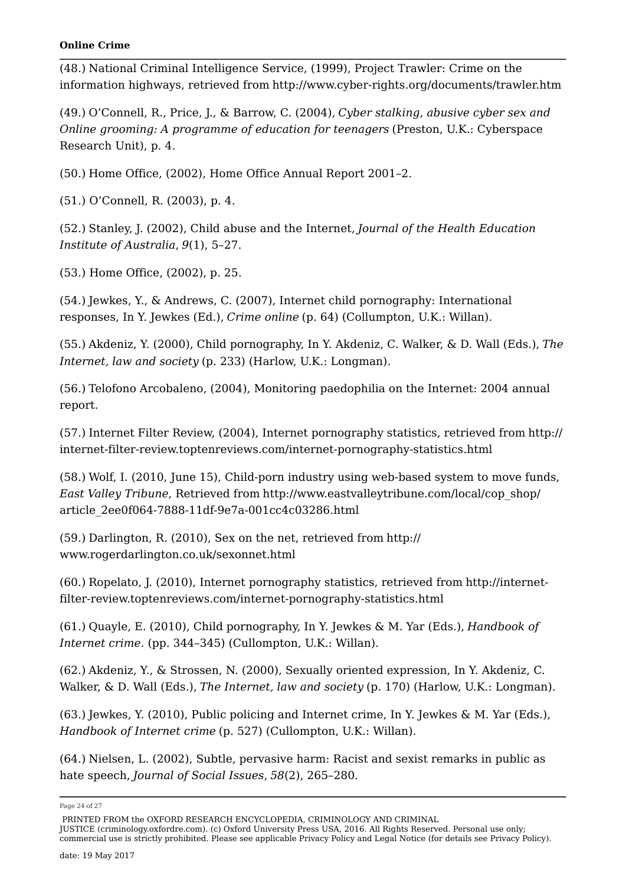(48.) National Criminal Intelligence Service, (1999), Project Trawler: Crime on the information highways, retrieved from http://www.cyber-rights.org/documents/trawler.htm

(49.) O'Connell, R., Price, J., & Barrow, C. (2004), *Cyber stalking, abusive cyber sex and Online grooming: A programme of education for teenagers* (Preston, U.K.: Cyberspace Research Unit), p. 4.

(50.) Home Office, (2002), Home Office Annual Report 2001–2.

(51.) O'Connell, R. (2003), p. 4.

(52.) Stanley, J. (2002), Child abuse and the Internet, *Journal of the Health Education Institute of Australia*, *9*(1), 5–27.

(53.) Home Office, (2002), p. 25.

(54.) Jewkes, Y., & Andrews, C. (2007), Internet child pornography: International responses, In Y. Jewkes (Ed.), *Crime online* (p. 64) (Collumpton, U.K.: Willan).

(55.) Akdeniz, Y. (2000), Child pornography, In Y. Akdeniz, C. Walker, & D. Wall (Eds.), *The Internet, law and society* (p. 233) (Harlow, U.K.: Longman).

(56.) Telofono Arcobaleno, (2004), Monitoring paedophilia on the Internet: 2004 annual report.

(57.) Internet Filter Review, (2004), Internet pornography statistics, retrieved from http:// internet-filter-review.toptenreviews.com/internet-pornography-statistics.html

(58.) Wolf, I. (2010, June 15), Child-porn industry using web-based system to move funds, *East Valley Tribune*, Retrieved from http://www.eastvalleytribune.com/local/cop\_shop/ article\_2ee0f064-7888-11df-9e7a-001cc4c03286.html

(59.) Darlington, R. (2010), Sex on the net, retrieved from http:// www.rogerdarlington.co.uk/sexonnet.html

(60.) Ropelato, J. (2010), Internet pornography statistics, retrieved from http://internetfilter-review.toptenreviews.com/internet-pornography-statistics.html

(61.) Quayle, E. (2010), Child pornography, In Y. Jewkes & M. Yar (Eds.), *Handbook of Internet crime*. (pp. 344–345) (Cullompton, U.K.: Willan).

(62.) Akdeniz, Y., & Strossen, N. (2000), Sexually oriented expression, In Y. Akdeniz, C. Walker, & D. Wall (Eds.), *The Internet, law and society* (p. 170) (Harlow, U.K.: Longman).

(63.) Jewkes, Y. (2010), Public policing and Internet crime, In Y. Jewkes & M. Yar (Eds.), *Handbook of Internet crime* (p. 527) (Cullompton, U.K.: Willan).

(64.) Nielsen, L. (2002), Subtle, pervasive harm: Racist and sexist remarks in public as hate speech, *Journal of Social Issues*, *58*(2), 265–280.

Page 24 of 27

PRINTED FROM the OXFORD RESEARCH ENCYCLOPEDIA, CRIMINOLOGY AND CRIMINAL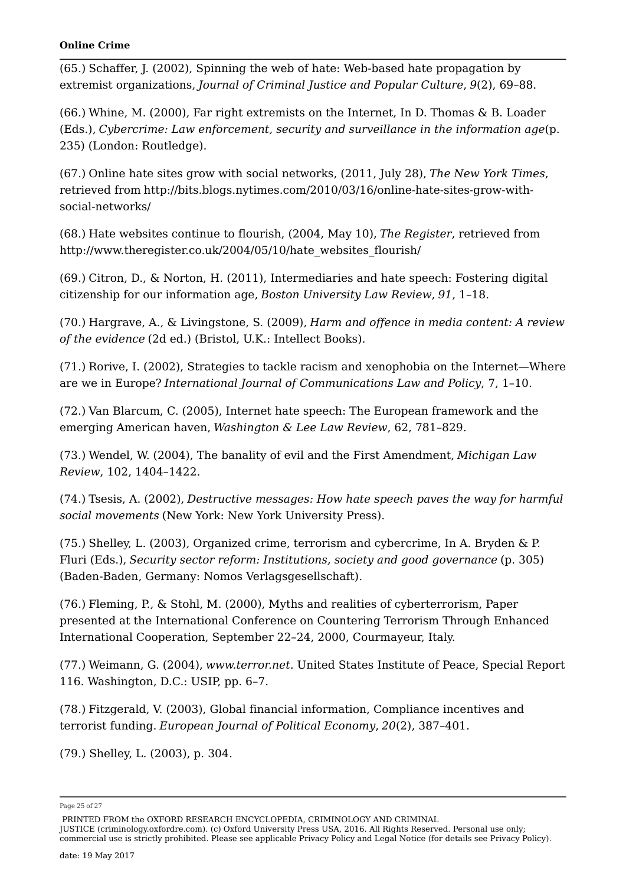(65.) Schaffer, J. (2002), Spinning the web of hate: Web-based hate propagation by extremist organizations, *Journal of Criminal Justice and Popular Culture*, *9*(2), 69–88.

(66.) Whine, M. (2000), Far right extremists on the Internet, In D. Thomas & B. Loader (Eds.), *Cybercrime: Law enforcement, security and surveillance in the information age*(p. 235) (London: Routledge).

(67.) Online hate sites grow with social networks, (2011, July 28), *The New York Times*, retrieved from http://bits.blogs.nytimes.com/2010/03/16/online-hate-sites-grow-withsocial-networks/

(68.) Hate websites continue to flourish, (2004, May 10), *The Register*, retrieved from http://www.theregister.co.uk/2004/05/10/hate\_websites\_flourish/

(69.) Citron, D., & Norton, H. (2011), Intermediaries and hate speech: Fostering digital citizenship for our information age, *Boston University Law Review*, *91*, 1–18.

(70.) Hargrave, A., & Livingstone, S. (2009), *Harm and offence in media content: A review of the evidence* (2d ed.) (Bristol, U.K.: Intellect Books).

(71.) Rorive, I. (2002), Strategies to tackle racism and xenophobia on the Internet—Where are we in Europe? *International Journal of Communications Law and Policy*, 7, 1–10.

(72.) Van Blarcum, C. (2005), Internet hate speech: The European framework and the emerging American haven, *Washington & Lee Law Review*, 62, 781–829.

(73.) Wendel, W. (2004), The banality of evil and the First Amendment, *Michigan Law Review*, 102, 1404–1422.

(74.) Tsesis, A. (2002), *Destructive messages: How hate speech paves the way for harmful social movements* (New York: New York University Press).

(75.) Shelley, L. (2003), Organized crime, terrorism and cybercrime, In A. Bryden & P. Fluri (Eds.), *Security sector reform: Institutions, society and good governance* (p. 305) (Baden-Baden, Germany: Nomos Verlagsgesellschaft).

(76.) Fleming, P., & Stohl, M. (2000), Myths and realities of cyberterrorism, Paper presented at the International Conference on Countering Terrorism Through Enhanced International Cooperation, September 22–24, 2000, Courmayeur, Italy.

(77.) Weimann, G. (2004), *www.terror.net*. United States Institute of Peace, Special Report 116. Washington, D.C.: USIP, pp. 6–7.

(78.) Fitzgerald, V. (2003), Global financial information, Compliance incentives and terrorist funding. *European Journal of Political Economy*, *20*(2), 387–401.

(79.) Shelley, L. (2003), p. 304.

Page 25 of 27

PRINTED FROM the OXFORD RESEARCH ENCYCLOPEDIA, CRIMINOLOGY AND CRIMINAL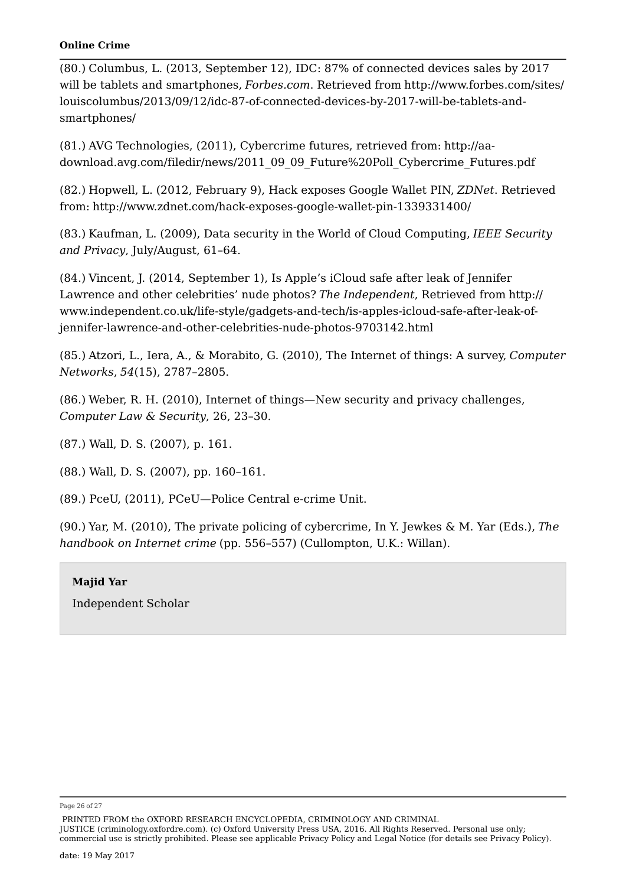(80.) Columbus, L. (2013, September 12), IDC: 87% of connected devices sales by 2017 will be tablets and smartphones, *Forbes.com*. Retrieved from http://www.forbes.com/sites/ louiscolumbus/2013/09/12/idc-87-of-connected-devices-by-2017-will-be-tablets-andsmartphones/

(81.) AVG Technologies, (2011), Cybercrime futures, retrieved from: http://aadownload.avg.com/filedir/news/2011\_09\_09\_Future%20Poll\_Cybercrime\_Futures.pdf

(82.) Hopwell, L. (2012, February 9), Hack exposes Google Wallet PIN, *ZDNet*. Retrieved from: http://www.zdnet.com/hack-exposes-google-wallet-pin-1339331400/

(83.) Kaufman, L. (2009), Data security in the World of Cloud Computing, *IEEE Security and Privacy*, July/August, 61–64.

(84.) Vincent, J. (2014, September 1), Is Apple's iCloud safe after leak of Jennifer Lawrence and other celebrities' nude photos? *The Independent*, Retrieved from http:// www.independent.co.uk/life-style/gadgets-and-tech/is-apples-icloud-safe-after-leak-ofjennifer-lawrence-and-other-celebrities-nude-photos-9703142.html

(85.) Atzori, L., Iera, A., & Morabito, G. (2010), The Internet of things: A survey, *Computer Networks*, *54*(15), 2787–2805.

(86.) Weber, R. H. (2010), Internet of things—New security and privacy challenges, *Computer Law & Security*, 26, 23–30.

(87.) Wall, D. S. (2007), p. 161.

(88.) Wall, D. S. (2007), pp. 160–161.

(89.) PceU, (2011), PCeU—Police Central e-crime Unit.

(90.) Yar, M. (2010), The private policing of cybercrime, In Y. Jewkes & M. Yar (Eds.), *The handbook on Internet crime* (pp. 556–557) (Cullompton, U.K.: Willan).

### **Majid Yar** Independent Scholar

Page 26 of 27

PRINTED FROM the OXFORD RESEARCH ENCYCLOPEDIA, CRIMINOLOGY AND CRIMINAL